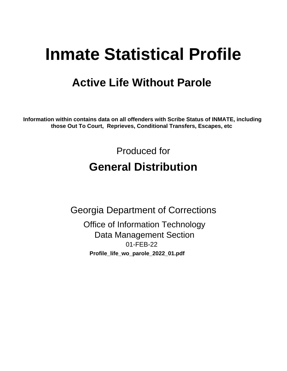# **Inmate Statistical Profile**

# **Active Life Without Parole**

Information within contains data on all offenders with Scribe Status of INMATE, including those Out To Court, Reprieves, Conditional Transfers, Escapes, etc

> Produced for **General Distribution**

**Georgia Department of Corrections Office of Information Technology Data Management Section** 01-FEB-22 Profile\_life\_wo\_parole\_2022\_01.pdf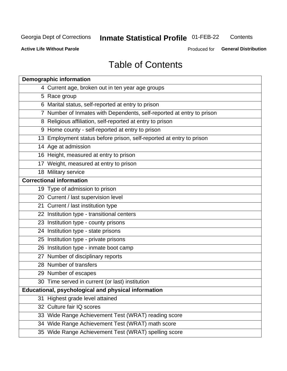# Inmate Statistical Profile 01-FEB-22

Contents

**Active Life Without Parole** 

Produced for General Distribution

# **Table of Contents**

|    | <b>Demographic information</b>                                        |
|----|-----------------------------------------------------------------------|
|    | 4 Current age, broken out in ten year age groups                      |
|    | 5 Race group                                                          |
|    | 6 Marital status, self-reported at entry to prison                    |
|    | 7 Number of Inmates with Dependents, self-reported at entry to prison |
|    | 8 Religious affiliation, self-reported at entry to prison             |
|    | 9 Home county - self-reported at entry to prison                      |
|    | 13 Employment status before prison, self-reported at entry to prison  |
|    | 14 Age at admission                                                   |
|    | 16 Height, measured at entry to prison                                |
|    | 17 Weight, measured at entry to prison                                |
|    | 18 Military service                                                   |
|    | <b>Correctional information</b>                                       |
|    | 19 Type of admission to prison                                        |
|    | 20 Current / last supervision level                                   |
|    | 21 Current / last institution type                                    |
|    | 22 Institution type - transitional centers                            |
|    | 23 Institution type - county prisons                                  |
|    | 24 Institution type - state prisons                                   |
|    | 25 Institution type - private prisons                                 |
|    | 26 Institution type - inmate boot camp                                |
|    | 27 Number of disciplinary reports                                     |
|    | 28 Number of transfers                                                |
|    | 29 Number of escapes                                                  |
|    | 30 Time served in current (or last) institution                       |
|    | Educational, psychological and physical information                   |
| 31 | Highest grade level attained                                          |
|    | 32 Culture fair IQ scores                                             |
|    | 33 Wide Range Achievement Test (WRAT) reading score                   |
|    | 34 Wide Range Achievement Test (WRAT) math score                      |
|    | 35 Wide Range Achievement Test (WRAT) spelling score                  |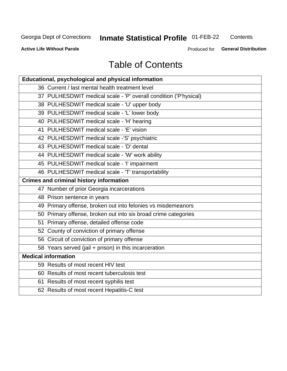# Inmate Statistical Profile 01-FEB-22

Contents

**Active Life Without Parole** 

Produced for General Distribution

# **Table of Contents**

| Educational, psychological and physical information              |
|------------------------------------------------------------------|
| 36 Current / last mental health treatment level                  |
| 37 PULHESDWIT medical scale - 'P' overall condition ('P'hysical) |
| 38 PULHESDWIT medical scale - 'U' upper body                     |
| 39 PULHESDWIT medical scale - 'L' lower body                     |
| 40 PULHESDWIT medical scale - 'H' hearing                        |
| 41 PULHESDWIT medical scale - 'E' vision                         |
| 42 PULHESDWIT medical scale -'S' psychiatric                     |
| 43 PULHESDWIT medical scale - 'D' dental                         |
| 44 PULHESDWIT medical scale - 'W' work ability                   |
| 45 PULHESDWIT medical scale - 'I' impairment                     |
| 46 PULHESDWIT medical scale - 'T' transportability               |
| <b>Crimes and criminal history information</b>                   |
| 47 Number of prior Georgia incarcerations                        |
| 48 Prison sentence in years                                      |
| 49 Primary offense, broken out into felonies vs misdemeanors     |
| 50 Primary offense, broken out into six broad crime categories   |
| 51 Primary offense, detailed offense code                        |
| 52 County of conviction of primary offense                       |
| 56 Circuit of conviction of primary offense                      |
| 58 Years served (jail + prison) in this incarceration            |
| <b>Medical information</b>                                       |
| 59 Results of most recent HIV test                               |
| 60 Results of most recent tuberculosis test                      |
| 61 Results of most recent syphilis test                          |
| 62 Results of most recent Hepatitis-C test                       |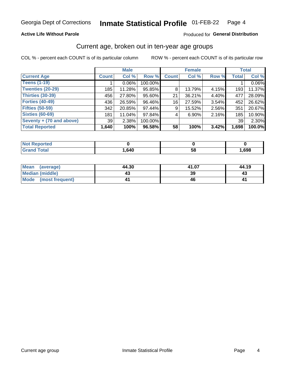### **Active Life Without Parole**

### Produced for General Distribution

# Current age, broken out in ten-year age groups

COL % - percent each COUNT is of its particular column

|                          | <b>Male</b>  |          |         | <b>Female</b> |        |       | <b>Total</b> |        |
|--------------------------|--------------|----------|---------|---------------|--------|-------|--------------|--------|
| <b>Current Age</b>       | <b>Count</b> | Col %    | Row %   | <b>Count</b>  | Col %  | Row % | <b>Total</b> | Col %  |
| <b>Teens (1-19)</b>      |              | $0.06\%$ | 100.00% |               |        |       |              | 0.06%  |
| <b>Twenties (20-29)</b>  | 185          | 11.28%   | 95.85%  | 8             | 13.79% | 4.15% | 193          | 11.37% |
| Thirties (30-39)         | 456          | 27.80%   | 95.60%  | 21            | 36.21% | 4.40% | 477          | 28.09% |
| <b>Forties (40-49)</b>   | 436          | 26.59%   | 96.46%  | 16            | 27.59% | 3.54% | 452          | 26.62% |
| <b>Fifties (50-59)</b>   | 342          | 20.85%   | 97.44%  | 9             | 15.52% | 2.56% | 351          | 20.67% |
| <b>Sixties (60-69)</b>   | 181          | 11.04%   | 97.84%  | 4             | 6.90%  | 2.16% | 185          | 10.90% |
| Seventy + (70 and above) | 39           | 2.38%    | 100.00% |               |        |       | 39           | 2.30%  |
| <b>Total Reported</b>    | 1,640        | 100%     | 96.58%  | 58            | 100%   | 3.42% | 1,698        | 100.0% |

| <b>The second and second the second and the project of the second and second and second and second and second and second and second and second and second and second and second and second and second and second and second and </b><br>ortea<br><b>NOT REPO</b><br>$\sim$ |      |    |      |
|----------------------------------------------------------------------------------------------------------------------------------------------------------------------------------------------------------------------------------------------------------------------------|------|----|------|
| $T0+0'$                                                                                                                                                                                                                                                                    | ,640 | 58 | ,698 |

| Mean (average)         | 44.30 | 41.07 | 44.19 |
|------------------------|-------|-------|-------|
| <b>Median (middle)</b> | 43    | 39    | 43    |
| Mode (most frequent)   |       | 46    |       |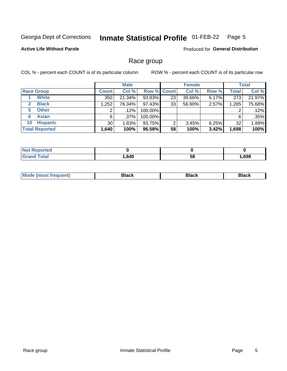#### Inmate Statistical Profile 01-FEB-22 Page 5

### **Active Life Without Parole**

Produced for General Distribution

# Race group

COL % - percent each COUNT is of its particular column

|                              |              | <b>Male</b> |         |                    | <b>Female</b> |       |       | <b>Total</b> |  |
|------------------------------|--------------|-------------|---------|--------------------|---------------|-------|-------|--------------|--|
| <b>Race Group</b>            | <b>Count</b> | Col %       |         | <b>Row % Count</b> | Col %         | Row % | Total | Col %        |  |
| <b>White</b>                 | 350          | 21.34%      | 93.83%  | 23                 | 39.66%        | 6.17% | 373   | 21.97%       |  |
| <b>Black</b><br>$\mathbf{2}$ | 1,252        | 76.34%      | 97.43%  | 33                 | 56.90%        | 2.57% | 1,285 | 75.68%       |  |
| <b>Other</b><br>5.           |              | $.12\%$     | 100.00% |                    |               |       | 2     | .12%         |  |
| <b>Asian</b><br>6            | 6            | $.37\%$     | 100.00% |                    |               |       | 6     | .35%         |  |
| <b>Hispanic</b><br>10        | 30           | 1.83%       | 93.75%  | 2                  | 3.45%         | 6.25% | 32    | 1.88%        |  |
| <b>Total Reported</b>        | 1,640        | 100%        | 96.58%  | 58                 | 100%          | 3.42% | 1,698 | 100%         |  |

| <b>Not Reported</b> |      |    |      |
|---------------------|------|----|------|
| <b>Total</b>        | .640 | 58 | ,698 |

| –•••• |  | M |  |  |  |
|-------|--|---|--|--|--|
|-------|--|---|--|--|--|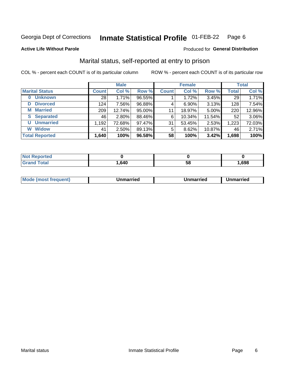#### Inmate Statistical Profile 01-FEB-22 Page 6

**Active Life Without Parole** 

### Produced for General Distribution

# Marital status, self-reported at entry to prison

COL % - percent each COUNT is of its particular column

|                       | <b>Male</b>  |        |        |              | <b>Female</b> | <b>Total</b> |              |        |
|-----------------------|--------------|--------|--------|--------------|---------------|--------------|--------------|--------|
| <b>Marital Status</b> | <b>Count</b> | Col %  | Row %  | <b>Count</b> | Col %         | Row %        | <b>Total</b> | Col %  |
| <b>Unknown</b>        | 28           | 1.71%  | 96.55% |              | 1.72%         | 3.45%        | 29           | 1.71%  |
| <b>Divorced</b><br>D  | 124          | 7.56%  | 96.88% | 4            | 6.90%         | 3.13%        | 128          | 7.54%  |
| <b>Married</b><br>м   | 209          | 12.74% | 95.00% | 11           | 18.97%        | 5.00%        | 220          | 12.96% |
| <b>Separated</b><br>S | 46           | 2.80%  | 88.46% | 6            | 10.34%        | 11.54%       | 52           | 3.06%  |
| <b>Unmarried</b><br>U | 1,192        | 72.68% | 97.47% | 31           | 53.45%        | 2.53%        | 1,223        | 72.03% |
| <b>Widow</b><br>W     | 41           | 2.50%  | 89.13% | 5            | 8.62%         | 10.87%       | 46           | 2.71%  |
| <b>Total Reported</b> | 1,640        | 100%   | 96.58% | 58           | 100%          | 3.42%        | 1,698        | 100%   |

| <b>Not Repo</b><br>prted |      |    |      |
|--------------------------|------|----|------|
| Гоtal                    | ,640 | ວດ | ,698 |

|--|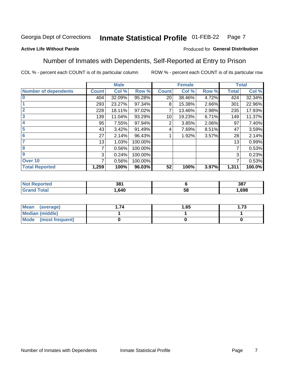#### Inmate Statistical Profile 01-FEB-22 Page 7

### **Active Life Without Parole**

### Produced for General Distribution

# Number of Inmates with Dependents, Self-Reported at Entry to Prison

COL % - percent each COUNT is of its particular column

|                             |              | <b>Male</b> |         |              | <b>Female</b> |       |              | <b>Total</b> |
|-----------------------------|--------------|-------------|---------|--------------|---------------|-------|--------------|--------------|
| <b>Number of dependents</b> | <b>Count</b> | Col %       | Row %   | <b>Count</b> | Col %         | Row % | <b>Total</b> | Col %        |
| $\bf{0}$                    | 404          | 32.09%      | 95.28%  | 20           | 38.46%        | 4.72% | 424          | 32.34%       |
|                             | 293          | 23.27%      | 97.34%  | 8            | 15.38%        | 2.66% | 301          | 22.96%       |
| $\overline{2}$              | 228          | 18.11%      | 97.02%  |              | 13.46%        | 2.98% | 235          | 17.93%       |
| 3                           | 139          | 11.04%      | 93.29%  | 10           | 19.23%        | 6.71% | 149          | 11.37%       |
| 4                           | 95           | 7.55%       | 97.94%  | 2            | 3.85%         | 2.06% | 97           | 7.40%        |
| 5                           | 43           | 3.42%       | 91.49%  | 4            | 7.69%         | 8.51% | 47           | 3.59%        |
| $6\phantom{1}6$             | 27           | 2.14%       | 96.43%  |              | 1.92%         | 3.57% | 28           | 2.14%        |
| 7                           | 13           | 1.03%       | 100.00% |              |               |       | 13           | 0.99%        |
| 8                           | 7            | 0.56%       | 100.00% |              |               |       | 7            | 0.53%        |
| $\boldsymbol{9}$            | 3            | 0.24%       | 100.00% |              |               |       | 3            | 0.23%        |
| Over 10                     | 7            | 0.56%       | 100.00% |              |               |       | 7            | 0.53%        |
| <b>Total Reported</b>       | 1,259        | 100%        | 96.03%  | 52           | 100%          | 3.97% | 1,311        | 100.0%       |

| 204<br>၁၀ |        | 387  |
|-----------|--------|------|
| .640      | .<br>◡ | .698 |

| <b>Mean</b><br>(average) | 1.65 | - 72<br>I. I J |
|--------------------------|------|----------------|
| Median (middle)          |      |                |
| Mode<br>(most frequent)  |      |                |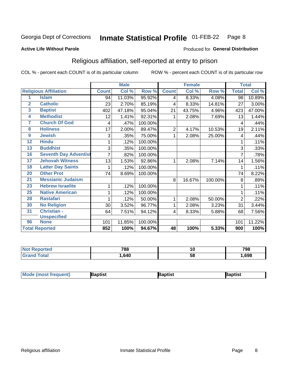#### **Inmate Statistical Profile 01-FEB-22** Page 8

### **Active Life Without Parole**

### Produced for General Distribution

# Religious affiliation, self-reported at entry to prison

COL % - percent each COUNT is of its particular column

|                         |                              |              | <b>Male</b> |         |                 | <b>Female</b> |         |                | <b>Total</b> |
|-------------------------|------------------------------|--------------|-------------|---------|-----------------|---------------|---------|----------------|--------------|
|                         | <b>Religious Affiliation</b> | <b>Count</b> | Col %       | Row %   | <b>Count</b>    | Col %         | Row %   | <b>Total</b>   | Col %        |
| 1                       | <b>Islam</b>                 | 94           | 11.03%      | 95.92%  | 4               | 8.33%         | 4.08%   | 98             | 10.89%       |
| $\overline{2}$          | <b>Catholic</b>              | 23           | 2.70%       | 85.19%  | 4               | 8.33%         | 14.81%  | 27             | 3.00%        |
| $\overline{3}$          | <b>Baptist</b>               | 402          | 47.18%      | 95.04%  | 21              | 43.75%        | 4.96%   | 423            | 47.00%       |
| $\overline{\mathbf{4}}$ | <b>Methodist</b>             | 12           | 1.41%       | 92.31%  |                 | 2.08%         | 7.69%   | 13             | 1.44%        |
| 7                       | <b>Church Of God</b>         | 4            | .47%        | 100.00% |                 |               |         | 4              | .44%         |
| 8                       | <b>Holiness</b>              | 17           | 2.00%       | 89.47%  | 2               | 4.17%         | 10.53%  | 19             | 2.11%        |
| 9                       | <b>Jewish</b>                | 3            | .35%        | 75.00%  | 1               | 2.08%         | 25.00%  | 4              | .44%         |
| $\overline{12}$         | <b>Hindu</b>                 | 1            | .12%        | 100.00% |                 |               |         |                | .11%         |
| 13                      | <b>Buddhist</b>              | 3            | .35%        | 100.00% |                 |               |         | 3              | .33%         |
| 16                      | <b>Seventh Day Adventist</b> |              | .82%        | 100.00% |                 |               |         | 7              | .78%         |
| 17                      | <b>Jehovah Witness</b>       | 13           | 1.53%       | 92.86%  |                 | 2.08%         | 7.14%   | 14             | 1.56%        |
| 18                      | <b>Latter Day Saints</b>     | 1            | .12%        | 100.00% |                 |               |         | 1              | .11%         |
| 20                      | <b>Other Prot</b>            | 74           | 8.69%       | 100.00% |                 |               |         | 74             | 8.22%        |
| 21                      | <b>Messianic Judaism</b>     |              |             |         | 8               | 16.67%        | 100.00% | 8              | .89%         |
| 23                      | <b>Hebrew Israelite</b>      | 1            | .12%        | 100.00% |                 |               |         |                | .11%         |
| 25                      | <b>Native American</b>       | 1            | .12%        | 100.00% |                 |               |         |                | .11%         |
| 28                      | <b>Rastafari</b>             | 1            | .12%        | 50.00%  | 1               | 2.08%         | 50.00%  | $\overline{2}$ | .22%         |
| 30                      | <b>No Religion</b>           | 30           | 3.52%       | 96.77%  | 1               | 2.08%         | 3.23%   | 31             | 3.44%        |
| 31                      | Christian -                  | 64           | 7.51%       | 94.12%  | 4               | 8.33%         | 5.88%   | 68             | 7.56%        |
|                         | <b>Unspecified</b>           |              |             |         |                 |               |         |                |              |
| 96                      | <b>None</b>                  | 101          | 11.85%      | 100.00% |                 |               |         | 101            | 11.22%       |
|                         | <b>Total Reported</b>        | 852          | 100%        | 94.67%  | $\overline{48}$ | 100%          | 5.33%   | 900            | 100%         |

| τeο | 788  | ΊU | 798  |
|-----|------|----|------|
|     | .640 | ວເ | .698 |

| <b>Mode (most frequent)</b><br>Baptist<br><b>Japtist</b><br>Baptist |
|---------------------------------------------------------------------|
|---------------------------------------------------------------------|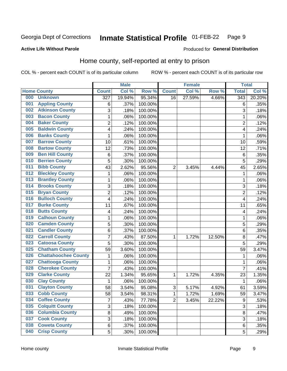#### **Inmate Statistical Profile 01-FEB-22** Page 9

### **Active Life Without Parole**

### Produced for General Distribution

# Home county, self-reported at entry to prison

COL % - percent each COUNT is of its particular column

|     |                             |                  | <b>Male</b> |         |                | <b>Female</b> |        | <b>Total</b>     |        |
|-----|-----------------------------|------------------|-------------|---------|----------------|---------------|--------|------------------|--------|
|     | <b>Home County</b>          | <b>Count</b>     | Col %       | Row %   | <b>Count</b>   | Col %         | Row %  | <b>Total</b>     | Col %  |
| 000 | <b>Unknown</b>              | $\overline{327}$ | 19.94%      | 95.34%  | 16             | 27.59%        | 4.66%  | $\overline{343}$ | 20.20% |
| 001 | <b>Appling County</b>       | 6                | .37%        | 100.00% |                |               |        | 6                | .35%   |
| 002 | <b>Atkinson County</b>      | 3                | .18%        | 100.00% |                |               |        | 3                | .18%   |
| 003 | <b>Bacon County</b>         | $\mathbf 1$      | .06%        | 100.00% |                |               |        | 1                | .06%   |
| 004 | <b>Baker County</b>         | $\overline{2}$   | .12%        | 100.00% |                |               |        | $\overline{2}$   | .12%   |
| 005 | <b>Baldwin County</b>       | 4                | .24%        | 100.00% |                |               |        | 4                | .24%   |
| 006 | <b>Banks County</b>         | 1                | .06%        | 100.00% |                |               |        | 1                | .06%   |
| 007 | <b>Barrow County</b>        | 10               | .61%        | 100.00% |                |               |        | 10               | .59%   |
| 008 | <b>Bartow County</b>        | 12               | .73%        | 100.00% |                |               |        | 12               | .71%   |
| 009 | <b>Ben Hill County</b>      | 6                | .37%        | 100.00% |                |               |        | 6                | .35%   |
| 010 | <b>Berrien County</b>       | 5                | .30%        | 100.00% |                |               |        | 5                | .29%   |
| 011 | <b>Bibb County</b>          | 43               | 2.62%       | 95.56%  | $\overline{2}$ | 3.45%         | 4.44%  | 45               | 2.65%  |
| 012 | <b>Bleckley County</b>      | 1                | .06%        | 100.00% |                |               |        | 1                | .06%   |
| 013 | <b>Brantley County</b>      | $\mathbf 1$      | .06%        | 100.00% |                |               |        | 1                | .06%   |
| 014 | <b>Brooks County</b>        | 3                | .18%        | 100.00% |                |               |        | 3                | .18%   |
| 015 | <b>Bryan County</b>         | $\overline{2}$   | .12%        | 100.00% |                |               |        | $\overline{2}$   | .12%   |
| 016 | <b>Bulloch County</b>       | 4                | .24%        | 100.00% |                |               |        | 4                | .24%   |
| 017 | <b>Burke County</b>         | 11               | .67%        | 100.00% |                |               |        | 11               | .65%   |
| 018 | <b>Butts County</b>         | 4                | .24%        | 100.00% |                |               |        | 4                | .24%   |
| 019 | <b>Calhoun County</b>       | 1                | .06%        | 100.00% |                |               |        | 1                | .06%   |
| 020 | <b>Camden County</b>        | 5                | .30%        | 100.00% |                |               |        | 5                | .29%   |
| 021 | <b>Candler County</b>       | 6                | .37%        | 100.00% |                |               |        | 6                | .35%   |
| 022 | <b>Carroll County</b>       | $\overline{7}$   | .43%        | 87.50%  | 1              | 1.72%         | 12.50% | 8                | .47%   |
| 023 | <b>Catoosa County</b>       | 5                | .30%        | 100.00% |                |               |        | 5                | .29%   |
| 025 | <b>Chatham County</b>       | 59               | 3.60%       | 100.00% |                |               |        | 59               | 3.47%  |
| 026 | <b>Chattahoochee County</b> | 1                | .06%        | 100.00% |                |               |        | 1                | .06%   |
| 027 | <b>Chattooga County</b>     | $\mathbf 1$      | .06%        | 100.00% |                |               |        | 1                | .06%   |
| 028 | <b>Cherokee County</b>      | 7                | .43%        | 100.00% |                |               |        | $\overline{7}$   | .41%   |
| 029 | <b>Clarke County</b>        | 22               | 1.34%       | 95.65%  | 1              | 1.72%         | 4.35%  | 23               | 1.35%  |
| 030 | <b>Clay County</b>          | 1                | .06%        | 100.00% |                |               |        | 1                | .06%   |
| 031 | <b>Clayton County</b>       | 58               | 3.54%       | 95.08%  | 3              | 5.17%         | 4.92%  | 61               | 3.59%  |
| 033 | <b>Cobb County</b>          | 58               | 3.54%       | 98.31%  | 1              | 1.72%         | 1.69%  | 59               | 3.47%  |
| 034 | <b>Coffee County</b>        | $\overline{7}$   | .43%        | 77.78%  | $\overline{2}$ | 3.45%         | 22.22% | $\boldsymbol{9}$ | .53%   |
| 035 | <b>Colquitt County</b>      | 3                | .18%        | 100.00% |                |               |        | 3                | .18%   |
| 036 | <b>Columbia County</b>      | 8                | .49%        | 100.00% |                |               |        | 8                | .47%   |
| 037 | <b>Cook County</b>          | 3                | .18%        | 100.00% |                |               |        | 3                | .18%   |
| 038 | <b>Coweta County</b>        | 6                | .37%        | 100.00% |                |               |        | 6                | .35%   |
| 040 | <b>Crisp County</b>         | 5                | .30%        | 100.00% |                |               |        | 5                | .29%   |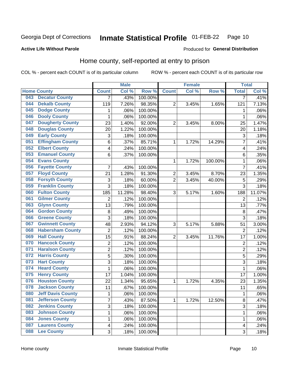#### Inmate Statistical Profile 01-FEB-22 Page 10

### **Active Life Without Parole**

### Produced for General Distribution

# Home county, self-reported at entry to prison

COL % - percent each COUNT is of its particular column

|     |                          |                           | <b>Male</b> |         |                  | <b>Female</b> |         | <b>Total</b>            |        |
|-----|--------------------------|---------------------------|-------------|---------|------------------|---------------|---------|-------------------------|--------|
|     | <b>Home County</b>       | <b>Count</b>              | Col %       | Row %   | <b>Count</b>     | Col %         | Row %   | <b>Total</b>            | Col %  |
| 043 | <b>Decatur County</b>    | $\overline{7}$            | .43%        | 100.00% |                  |               |         | 7                       | .41%   |
| 044 | <b>Dekalb County</b>     | 119                       | 7.26%       | 98.35%  | 2                | 3.45%         | 1.65%   | 121                     | 7.13%  |
| 045 | <b>Dodge County</b>      | 1                         | .06%        | 100.00% |                  |               |         | 1                       | .06%   |
| 046 | <b>Dooly County</b>      | 1                         | .06%        | 100.00% |                  |               |         | 1                       | .06%   |
| 047 | <b>Dougherty County</b>  | 23                        | 1.40%       | 92.00%  | $\overline{2}$   | 3.45%         | 8.00%   | 25                      | 1.47%  |
| 048 | <b>Douglas County</b>    | 20                        | 1.22%       | 100.00% |                  |               |         | 20                      | 1.18%  |
| 049 | <b>Early County</b>      | 3                         | .18%        | 100.00% |                  |               |         | 3                       | .18%   |
| 051 | <b>Effingham County</b>  | 6                         | .37%        | 85.71%  | 1                | 1.72%         | 14.29%  | 7                       | .41%   |
| 052 | <b>Elbert County</b>     | $\overline{\mathbf{4}}$   | .24%        | 100.00% |                  |               |         | 4                       | .24%   |
| 053 | <b>Emanuel County</b>    | 6                         | .37%        | 100.00% |                  |               |         | 6                       | .35%   |
| 054 | <b>Evans County</b>      |                           |             |         | 1                | 1.72%         | 100.00% | 1                       | .06%   |
| 056 | <b>Fayette County</b>    | 7                         | .43%        | 100.00% |                  |               |         | 7                       | .41%   |
| 057 | <b>Floyd County</b>      | 21                        | 1.28%       | 91.30%  | $\boldsymbol{2}$ | 3.45%         | 8.70%   | 23                      | 1.35%  |
| 058 | <b>Forsyth County</b>    | $\ensuremath{\mathsf{3}}$ | .18%        | 60.00%  | $\overline{2}$   | 3.45%         | 40.00%  | 5                       | .29%   |
| 059 | <b>Franklin County</b>   | $\overline{3}$            | .18%        | 100.00% |                  |               |         | 3                       | .18%   |
| 060 | <b>Fulton County</b>     | 185                       | 11.28%      | 98.40%  | 3                | 5.17%         | 1.60%   | 188                     | 11.07% |
| 061 | <b>Gilmer County</b>     | $\overline{2}$            | .12%        | 100.00% |                  |               |         | $\overline{2}$          | .12%   |
| 063 | <b>Glynn County</b>      | 13                        | .79%        | 100.00% |                  |               |         | 13                      | .77%   |
| 064 | <b>Gordon County</b>     | $\,8\,$                   | .49%        | 100.00% |                  |               |         | 8                       | .47%   |
| 066 | <b>Greene County</b>     | 3                         | .18%        | 100.00% |                  |               |         | 3                       | .18%   |
| 067 | <b>Gwinnett County</b>   | 48                        | 2.93%       | 94.12%  | 3                | 5.17%         | 5.88%   | 51                      | 3.00%  |
| 068 | <b>Habersham County</b>  | $\overline{2}$            | .12%        | 100.00% |                  |               |         | $\overline{2}$          | .12%   |
| 069 | <b>Hall County</b>       | 15                        | .91%        | 88.24%  | $\overline{c}$   | 3.45%         | 11.76%  | 17                      | 1.00%  |
| 070 | <b>Hancock County</b>    | $\overline{2}$            | .12%        | 100.00% |                  |               |         | $\overline{2}$          | .12%   |
| 071 | <b>Haralson County</b>   | $\overline{2}$            | .12%        | 100.00% |                  |               |         | $\overline{\mathbf{c}}$ | .12%   |
| 072 | <b>Harris County</b>     | $\mathbf 5$               | .30%        | 100.00% |                  |               |         | 5                       | .29%   |
| 073 | <b>Hart County</b>       | $\overline{3}$            | .18%        | 100.00% |                  |               |         | 3                       | .18%   |
| 074 | <b>Heard County</b>      | 1                         | .06%        | 100.00% |                  |               |         | 1                       | .06%   |
| 075 | <b>Henry County</b>      | 17                        | 1.04%       | 100.00% |                  |               |         | 17                      | 1.00%  |
| 076 | <b>Houston County</b>    | 22                        | 1.34%       | 95.65%  | 1                | 1.72%         | 4.35%   | 23                      | 1.35%  |
| 078 | <b>Jackson County</b>    | 11                        | .67%        | 100.00% |                  |               |         | 11                      | .65%   |
| 080 | <b>Jeff Davis County</b> | 1                         | .06%        | 100.00% |                  |               |         | 1                       | .06%   |
| 081 | <b>Jefferson County</b>  | $\overline{7}$            | .43%        | 87.50%  | $\mathbf{1}$     | 1.72%         | 12.50%  | 8                       | .47%   |
| 082 | <b>Jenkins County</b>    | $\mathfrak{S}$            | .18%        | 100.00% |                  |               |         | 3                       | .18%   |
| 083 | <b>Johnson County</b>    | $\mathbf{1}$              | .06%        | 100.00% |                  |               |         | 1                       | .06%   |
| 084 | <b>Jones County</b>      | 1                         | .06%        | 100.00% |                  |               |         | 1                       | .06%   |
| 087 | <b>Laurens County</b>    | $\overline{\mathbf{4}}$   | .24%        | 100.00% |                  |               |         | 4                       | .24%   |
| 088 | <b>Lee County</b>        | 3                         | .18%        | 100.00% |                  |               |         | 3                       | .18%   |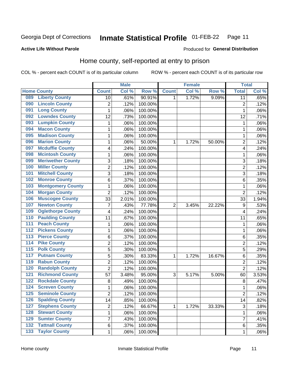#### **Inmate Statistical Profile 01-FEB-22** Page 11

**Active Life Without Parole** 

Produced for General Distribution

# Home county, self-reported at entry to prison

COL % - percent each COUNT is of its particular column

|                  |                          |                         | <b>Male</b> |         |                | <b>Female</b> |        | <b>Total</b>   |       |
|------------------|--------------------------|-------------------------|-------------|---------|----------------|---------------|--------|----------------|-------|
|                  | <b>Home County</b>       | <b>Count</b>            | Col %       | Row %   | <b>Count</b>   | Col %         | Row %  | <b>Total</b>   | Col % |
| 089              | <b>Liberty County</b>    | 10                      | .61%        | 90.91%  | 1              | 1.72%         | 9.09%  | 11             | .65%  |
| 090              | <b>Lincoln County</b>    | $\overline{c}$          | .12%        | 100.00% |                |               |        | $\overline{2}$ | .12%  |
| 091              | <b>Long County</b>       | $\mathbf{1}$            | .06%        | 100.00% |                |               |        | 1              | .06%  |
| 092              | <b>Lowndes County</b>    | 12                      | .73%        | 100.00% |                |               |        | 12             | .71%  |
| 093              | <b>Lumpkin County</b>    | $\mathbf 1$             | .06%        | 100.00% |                |               |        | 1              | .06%  |
| 094              | <b>Macon County</b>      | $\mathbf 1$             | .06%        | 100.00% |                |               |        | 1              | .06%  |
| 095              | <b>Madison County</b>    | $\mathbf 1$             | .06%        | 100.00% |                |               |        | 1              | .06%  |
| 096              | <b>Marion County</b>     | $\mathbf 1$             | .06%        | 50.00%  | 1              | 1.72%         | 50.00% | $\overline{2}$ | .12%  |
| 097              | <b>Mcduffie County</b>   | 4                       | .24%        | 100.00% |                |               |        | 4              | .24%  |
| 098              | <b>Mcintosh County</b>   | $\mathbf 1$             | .06%        | 100.00% |                |               |        | 1              | .06%  |
| 099              | <b>Meriwether County</b> | 3                       | .18%        | 100.00% |                |               |        | 3              | .18%  |
| 100              | <b>Miller County</b>     | $\overline{2}$          | .12%        | 100.00% |                |               |        | $\overline{2}$ | .12%  |
| 101              | <b>Mitchell County</b>   | 3                       | .18%        | 100.00% |                |               |        | 3              | .18%  |
| 102              | <b>Monroe County</b>     | 6                       | .37%        | 100.00% |                |               |        | 6              | .35%  |
| 103              | <b>Montgomery County</b> | 1                       | .06%        | 100.00% |                |               |        | 1              | .06%  |
| 104              | <b>Morgan County</b>     | $\overline{2}$          | .12%        | 100.00% |                |               |        | $\overline{2}$ | .12%  |
| 106              | <b>Muscogee County</b>   | 33                      | 2.01%       | 100.00% |                |               |        | 33             | 1.94% |
| 107              | <b>Newton County</b>     | $\overline{7}$          | .43%        | 77.78%  | $\overline{2}$ | 3.45%         | 22.22% | 9              | .53%  |
| 109              | <b>Oglethorpe County</b> | 4                       | .24%        | 100.00% |                |               |        | 4              | .24%  |
| 110              | <b>Paulding County</b>   | 11                      | .67%        | 100.00% |                |               |        | 11             | .65%  |
| 111              | <b>Peach County</b>      | $\mathbf 1$             | .06%        | 100.00% |                |               |        | 1              | .06%  |
| $\overline{112}$ | <b>Pickens County</b>    | $\mathbf 1$             | .06%        | 100.00% |                |               |        | 1              | .06%  |
| 113              | <b>Pierce County</b>     | 6                       | .37%        | 100.00% |                |               |        | 6              | .35%  |
| 114              | <b>Pike County</b>       | $\overline{2}$          | .12%        | 100.00% |                |               |        | $\overline{2}$ | .12%  |
| $\overline{115}$ | <b>Polk County</b>       | 5                       | .30%        | 100.00% |                |               |        | 5              | .29%  |
| 117              | <b>Putnam County</b>     | 5                       | .30%        | 83.33%  | 1              | 1.72%         | 16.67% | 6              | .35%  |
| 119              | <b>Rabun County</b>      | $\overline{c}$          | .12%        | 100.00% |                |               |        | $\overline{2}$ | .12%  |
| 120              | <b>Randolph County</b>   | $\overline{2}$          | .12%        | 100.00% |                |               |        | $\overline{2}$ | .12%  |
| 121              | <b>Richmond County</b>   | 57                      | 3.48%       | 95.00%  | 3              | 5.17%         | 5.00%  | 60             | 3.53% |
| 122              | <b>Rockdale County</b>   | 8                       | .49%        | 100.00% |                |               |        | 8              | .47%  |
| 124              | <b>Screven County</b>    | 1                       | .06%        | 100.00% |                |               |        | 1              | .06%  |
| 125              | <b>Seminole County</b>   | $\overline{c}$          | .12%        | 100.00% |                |               |        | $\overline{2}$ | .12%  |
| 126              | <b>Spalding County</b>   | 14                      | .85%        | 100.00% |                |               |        | 14             | .82%  |
| 127              | <b>Stephens County</b>   | $\overline{\mathbf{c}}$ | .12%        | 66.67%  | 1              | 1.72%         | 33.33% | $\sqrt{3}$     | .18%  |
| 128              | <b>Stewart County</b>    | $\mathbf{1}$            | .06%        | 100.00% |                |               |        | 1              | .06%  |
| 129              | <b>Sumter County</b>     | $\overline{7}$          | .43%        | 100.00% |                |               |        | $\overline{7}$ | .41%  |
| $\overline{132}$ | <b>Tattnall County</b>   | 6                       | .37%        | 100.00% |                |               |        | $\,6$          | .35%  |
| 133              | <b>Taylor County</b>     | $\mathbf{1}$            | .06%        | 100.00% |                |               |        | 1              | .06%  |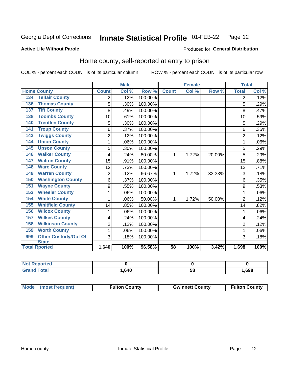#### **Inmate Statistical Profile 01-FEB-22** Page 12

### **Active Life Without Parole**

### Produced for General Distribution

# Home county, self-reported at entry to prison

COL % - percent each COUNT is of its particular column

|                                    |                | <b>Male</b>                |         |              | <b>Female</b> |        | <b>Total</b>   |       |
|------------------------------------|----------------|----------------------------|---------|--------------|---------------|--------|----------------|-------|
| <b>Home County</b>                 | <b>Count</b>   | $\overline{\text{Col }^9}$ | Row %   | <b>Count</b> | Col %         | Row %  | <b>Total</b>   | Col % |
| <b>Telfair County</b><br>134       | 2              | .12%                       | 100.00% |              |               |        | 2              | .12%  |
| <b>Thomas County</b><br>136        | 5              | .30%                       | 100.00% |              |               |        | 5              | .29%  |
| <b>Tift County</b><br>137          | 8              | .49%                       | 100.00% |              |               |        | 8              | .47%  |
| <b>Toombs County</b><br>138        | 10             | .61%                       | 100.00% |              |               |        | 10             | .59%  |
| <b>Treutlen County</b><br>140      | 5              | .30%                       | 100.00% |              |               |        | 5              | .29%  |
| <b>Troup County</b><br>141         | 6              | .37%                       | 100.00% |              |               |        | 6              | .35%  |
| <b>Twiggs County</b><br>143        | $\overline{2}$ | .12%                       | 100.00% |              |               |        | $\overline{2}$ | .12%  |
| <b>Union County</b><br>144         | 1              | .06%                       | 100.00% |              |               |        | 1              | .06%  |
| <b>Upson County</b><br>145         | 5              | .30%                       | 100.00% |              |               |        | 5              | .29%  |
| <b>Walker County</b><br>146        | 4              | .24%                       | 80.00%  | 1            | 1.72%         | 20.00% | 5              | .29%  |
| <b>Walton County</b><br>147        | 15             | .91%                       | 100.00% |              |               |        | 15             | .88%  |
| <b>Ware County</b><br>148          | 12             | .73%                       | 100.00% |              |               |        | 12             | .71%  |
| <b>Warren County</b><br>149        | $\overline{2}$ | .12%                       | 66.67%  | 1            | 1.72%         | 33.33% | 3              | .18%  |
| <b>Washington County</b><br>150    | 6              | .37%                       | 100.00% |              |               |        | 6              | .35%  |
| <b>Wayne County</b><br>151         | 9              | .55%                       | 100.00% |              |               |        | 9              | .53%  |
| <b>Wheeler County</b><br>153       | 1              | .06%                       | 100.00% |              |               |        | 1              | .06%  |
| <b>White County</b><br>154         | 1              | .06%                       | 50.00%  | 1            | 1.72%         | 50.00% | $\overline{2}$ | .12%  |
| <b>Whitfield County</b><br>155     | 14             | .85%                       | 100.00% |              |               |        | 14             | .82%  |
| <b>Wilcox County</b><br>156        | 1              | .06%                       | 100.00% |              |               |        | 1              | .06%  |
| <b>Wilkes County</b><br>157        | 4              | .24%                       | 100.00% |              |               |        | 4              | .24%  |
| <b>Wilkinson County</b><br>158     | $\overline{2}$ | .12%                       | 100.00% |              |               |        | $\overline{2}$ | .12%  |
| <b>Worth County</b><br>159         | 1              | .06%                       | 100.00% |              |               |        | 1              | .06%  |
| <b>Other Custody/Out Of</b><br>999 | 3              | .18%                       | 100.00% |              |               |        | 3              | .18%  |
| <b>State</b>                       |                |                            |         |              |               |        |                |       |
| <b>Total Rported</b>               | 1,640          | 100%                       | 96.58%  | 58           | 100%          | 3.42%  | 1,698          | 100%  |

| <b>Not Reported</b> |      |    |      |
|---------------------|------|----|------|
| Total               | ,640 | ວດ | ,698 |

| Mode (most frequent) | <b>Fulton County</b> | <b>Gwinnett County</b> | <b>Fulton County</b> |
|----------------------|----------------------|------------------------|----------------------|
|----------------------|----------------------|------------------------|----------------------|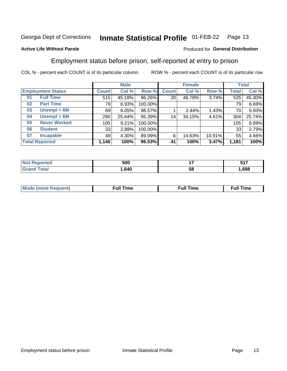#### **Inmate Statistical Profile 01-FEB-22** Page 13

### **Active Life Without Parole**

# Produced for General Distribution

# Employment status before prison, self-reported at entry to prison

COL % - percent each COUNT is of its particular column

|                           | <b>Male</b>  |        |         |                 | <b>Female</b> |        |       | <b>Total</b> |  |
|---------------------------|--------------|--------|---------|-----------------|---------------|--------|-------|--------------|--|
| <b>Employment Status</b>  | <b>Count</b> | Col %  | Row %   | <b>Count</b>    | Col %         | Row %  | Total | Col %        |  |
| <b>Full Time</b><br>01    | 515          | 45.18% | 96.26%  | 20 <sub>1</sub> | 48.78%        | 3.74%  | 535   | 45.30%       |  |
| <b>Part Time</b><br>02    | 79           | 6.93%  | 100.00% |                 |               |        | 79    | 6.69%        |  |
| Unempl $<$ 6M<br>03       | 69           | 6.05%  | 98.57%  |                 | 2.44%         | 1.43%  | 70    | 5.93%        |  |
| Unempl > 6M<br>04         | 290          | 25.44% | 95.39%  | 14              | 34.15%        | 4.61%  | 304   | 25.74%       |  |
| <b>Never Worked</b><br>05 | 105          | 9.21%  | 100.00% |                 |               |        | 105   | 8.89%        |  |
| <b>Student</b><br>06      | 33           | 2.89%  | 100.00% |                 |               |        | 33    | 2.79%        |  |
| <b>Incapable</b><br>07    | 49           | 4.30%  | 89.09%  | 6               | 14.63%        | 10.91% | 55    | 4.66%        |  |
| <b>Total Reported</b>     | 1,140        | 100%   | 96.53%  | 41              | 100%          | 3.47%  | 1,181 | 100%         |  |

| n mar | 500  | . . | 5 4 7<br>$\sim$ $\sim$ $\sim$ $\sim$ $\sim$ $\sim$ |
|-------|------|-----|----------------------------------------------------|
|       | .640 | ວເ  | .698                                               |

| Mc | ----<br>me<br>ш | nc<br>. |
|----|-----------------|---------|
|    |                 |         |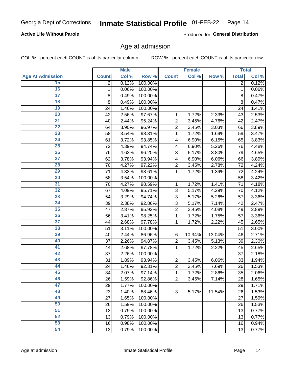## **Active Life Without Parole**

Produced for General Distribution

# Age at admission

COL % - percent each COUNT is of its particular column

|                         |              | <b>Male</b> |         |                | <b>Female</b> |        |              | <b>Total</b> |
|-------------------------|--------------|-------------|---------|----------------|---------------|--------|--------------|--------------|
| <b>Age At Admission</b> | <b>Count</b> | Col %       | Row %   | <b>Count</b>   | Col %         | Row %  | <b>Total</b> | Col %        |
| 15                      | 2            | 0.12%       | 100.00% |                |               |        | 2            | 0.12%        |
| 16                      | 1            | 0.06%       | 100.00% |                |               |        | 1            | 0.06%        |
| $\overline{17}$         | 8            | 0.49%       | 100.00% |                |               |        | 8            | 0.47%        |
| 18                      | 8            | 0.49%       | 100.00% |                |               |        | 8            | 0.47%        |
| 19                      | 24           | 1.46%       | 100.00% |                |               |        | 24           | 1.41%        |
| $\overline{20}$         | 42           | 2.56%       | 97.67%  | 1              | 1.72%         | 2.33%  | 43           | 2.53%        |
| $\overline{21}$         | 40           | 2.44%       | 95.24%  | $\overline{2}$ | 3.45%         | 4.76%  | 42           | 2.47%        |
| 22                      | 64           | 3.90%       | 96.97%  | $\overline{2}$ | 3.45%         | 3.03%  | 66           | 3.89%        |
| 23                      | 58           | 3.54%       | 98.31%  | 1              | 1.72%         | 1.69%  | 59           | 3.47%        |
| 24                      | 61           | 3.72%       | 93.85%  | 4              | 6.90%         | 6.15%  | 65           | 3.83%        |
| $\overline{25}$         | 72           | 4.39%       | 94.74%  | 4              | 6.90%         | 5.26%  | 76           | 4.48%        |
| 26                      | 76           | 4.63%       | 96.20%  | 3              | 5.17%         | 3.80%  | 79           | 4.65%        |
| $\overline{27}$         | 62           | 3.78%       | 93.94%  | 4              | 6.90%         | 6.06%  | 66           | 3.89%        |
| 28                      | 70           | 4.27%       | 97.22%  | $\overline{2}$ | 3.45%         | 2.78%  | 72           | 4.24%        |
| 29                      | 71           | 4.33%       | 98.61%  | 1              | 1.72%         | 1.39%  | 72           | 4.24%        |
| 30                      | 58           | 3.54%       | 100.00% |                |               |        | 58           | 3.42%        |
| 31                      | 70           | 4.27%       | 98.59%  | 1              | 1.72%         | 1.41%  | 71           | 4.18%        |
| 32                      | 67           | 4.09%       | 95.71%  | 3              | 5.17%         | 4.29%  | 70           | 4.12%        |
| 33                      | 54           | 3.29%       | 94.74%  | 3              | 5.17%         | 5.26%  | 57           | 3.36%        |
| 34                      | 39           | 2.38%       | 92.86%  | 3              | 5.17%         | 7.14%  | 42           | 2.47%        |
| 35                      | 47           | 2.87%       | 95.92%  | $\overline{2}$ | 3.45%         | 4.08%  | 49           | 2.89%        |
| 36                      | 56           | 3.41%       | 98.25%  | 1              | 1.72%         | 1.75%  | 57           | 3.36%        |
| $\overline{37}$         | 44           | 2.68%       | 97.78%  | 1              | 1.72%         | 2.22%  | 45           | 2.65%        |
| 38                      | 51           | 3.11%       | 100.00% |                |               |        | 51           | 3.00%        |
| 39                      | 40           | 2.44%       | 86.96%  | 6              | 10.34%        | 13.04% | 46           | 2.71%        |
| 40                      | 37           | 2.26%       | 94.87%  | $\overline{2}$ | 3.45%         | 5.13%  | 39           | 2.30%        |
| 41                      | 44           | 2.68%       | 97.78%  | 1              | 1.72%         | 2.22%  | 45           | 2.65%        |
| 42                      | 37           | 2.26%       | 100.00% |                |               |        | 37           | 2.18%        |
| 43                      | 31           | 1.89%       | 93.94%  | $\overline{2}$ | 3.45%         | 6.06%  | 33           | 1.94%        |
| 44                      | 24           | 1.46%       | 92.31%  | $\overline{2}$ | 3.45%         | 7.69%  | 26           | 1.53%        |
| 45                      | 34           | 2.07%       | 97.14%  | 1              | 1.72%         | 2.86%  | 35           | 2.06%        |
| 46                      | 26           | 1.59%       | 92.86%  | $\overline{2}$ | 3.45%         | 7.14%  | 28           | 1.65%        |
| 47                      | 29           | 1.77%       | 100.00% |                |               |        | 29           | 1.71%        |
| 48                      | 23           | 1.40%       | 88.46%  | 3              | 5.17%         | 11.54% | 26           | 1.53%        |
| 49                      | 27           | 1.65%       | 100.00% |                |               |        | 27           | 1.59%        |
| 50                      | 26           | 1.59%       | 100.00% |                |               |        | 26           | 1.53%        |
| $\overline{51}$         | 13           | 0.79%       | 100.00% |                |               |        | 13           | 0.77%        |
| 52                      | 13           | 0.79%       | 100.00% |                |               |        | 13           | 0.77%        |
| 53                      | 16           | 0.98%       | 100.00% |                |               |        | 16           | 0.94%        |
| 54                      | 13           | 0.79%       | 100.00% |                |               |        | 13           | 0.77%        |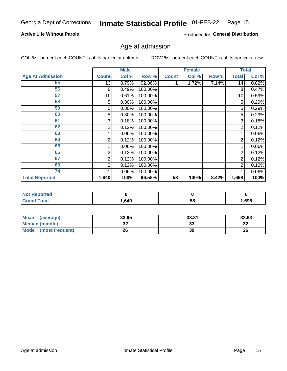### **Active Life Without Parole**

Produced for General Distribution

# Age at admission

COL % - percent each COUNT is of its particular column

|                         |              | <b>Male</b> |         |              | <b>Female</b> |       |                | <b>Total</b> |
|-------------------------|--------------|-------------|---------|--------------|---------------|-------|----------------|--------------|
| <b>Age At Admission</b> | <b>Count</b> | Col %       | Row %   | <b>Count</b> | Col %         | Row % | <b>Total</b>   | Col %        |
| 55                      | 13           | 0.79%       | 92.86%  |              | 1.72%         | 7.14% | 14             | 0.82%        |
| 56                      | 8            | 0.49%       | 100.00% |              |               |       | 8              | 0.47%        |
| 57                      | 10           | 0.61%       | 100.00% |              |               |       | 10             | 0.59%        |
| 58                      | 5            | 0.30%       | 100.00% |              |               |       | 5              | 0.29%        |
| 59                      | 5            | 0.30%       | 100.00% |              |               |       | 5              | 0.29%        |
| 60                      | 5            | 0.30%       | 100.00% |              |               |       | 5              | 0.29%        |
| 61                      | 3            | 0.18%       | 100.00% |              |               |       | 3              | 0.18%        |
| 62                      | 2            | 0.12%       | 100.00% |              |               |       | 2              | 0.12%        |
| 63                      |              | 0.06%       | 100.00% |              |               |       |                | 0.06%        |
| 64                      | 2            | 0.12%       | 100.00% |              |               |       | 2              | 0.12%        |
| 65                      |              | 0.06%       | 100.00% |              |               |       |                | 0.06%        |
| 66                      | 2            | 0.12%       | 100.00% |              |               |       | 2              | 0.12%        |
| 67                      | 2            | 0.12%       | 100.00% |              |               |       | 2              | 0.12%        |
| 69                      | 2            | 0.12%       | 100.00% |              |               |       | $\overline{2}$ | 0.12%        |
| 74                      |              | 0.06%       | 100.00% |              |               |       |                | 0.06%        |
| <b>Total Reported</b>   | 1,640        | 100%        | 96.58%  | 58           | 100%          | 3.42% | 1,698          | 100%         |

| <b>Not Reported</b> |      |    |       |
|---------------------|------|----|-------|
| <b>Total</b>        | .640 | 58 | 1,698 |

| Mean<br>(average)       | 33.95    | 33.31   | 33.93   |
|-------------------------|----------|---------|---------|
| <b>Median (middle)</b>  | ^^<br>JZ | ົ<br>აა | …<br>34 |
| Mode<br>(most frequent) | 26       | 39      | 26      |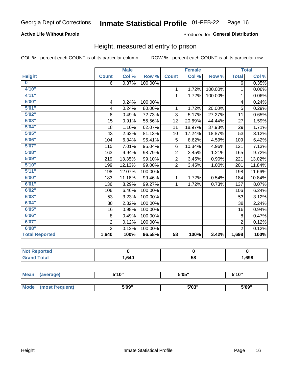# **Active Life Without Parole**

### Produced for General Distribution

# Height, measured at entry to prison

COL % - percent each COUNT is of its particular column

|                         |                | <b>Male</b> |         |                 | <b>Female</b> |         |                | <b>Total</b> |
|-------------------------|----------------|-------------|---------|-----------------|---------------|---------|----------------|--------------|
| <b>Height</b>           | <b>Count</b>   | Col %       | Row %   | <b>Count</b>    | Col %         | Row %   | <b>Total</b>   | Col %        |
| $\overline{\mathbf{0}}$ | 6              | 0.37%       | 100.00% |                 |               |         | 6              | 0.35%        |
| 4'10"                   |                |             |         | $\mathbf{1}$    | 1.72%         | 100.00% | 1              | 0.06%        |
| 4'11''                  |                |             |         | $\mathbf{1}$    | 1.72%         | 100.00% | 1              | 0.06%        |
| 5'00''                  | 4              | 0.24%       | 100.00% |                 |               |         | 4              | 0.24%        |
| 5'01"                   | 4              | 0.24%       | 80.00%  | $\mathbf 1$     | 1.72%         | 20.00%  | 5              | 0.29%        |
| 5'02"                   | 8              | 0.49%       | 72.73%  | 3               | 5.17%         | 27.27%  | 11             | 0.65%        |
| 5'03''                  | 15             | 0.91%       | 55.56%  | 12              | 20.69%        | 44.44%  | 27             | 1.59%        |
| 5'04"                   | 18             | 1.10%       | 62.07%  | 11              | 18.97%        | 37.93%  | 29             | 1.71%        |
| 5'05"                   | 43             | 2.62%       | 81.13%  | 10              | 17.24%        | 18.87%  | 53             | 3.12%        |
| 5'06''                  | 104            | 6.34%       | 95.41%  | 5               | 8.62%         | 4.59%   | 109            | 6.42%        |
| 5'07''                  | 115            | 7.01%       | 95.04%  | 6               | 10.34%        | 4.96%   | 121            | 7.13%        |
| 5'08''                  | 163            | 9.94%       | 98.79%  | $\overline{2}$  | 3.45%         | 1.21%   | 165            | 9.72%        |
| 5'09''                  | 219            | 13.35%      | 99.10%  | $\overline{2}$  | 3.45%         | 0.90%   | 221            | 13.02%       |
| 5'10''                  | 199            | 12.13%      | 99.00%  | $\overline{2}$  | 3.45%         | 1.00%   | 201            | 11.84%       |
| 5'11''                  | 198            | 12.07%      | 100.00% |                 |               |         | 198            | 11.66%       |
| 6'00''                  | 183            | 11.16%      | 99.46%  | $\mathbf{1}$    | 1.72%         | 0.54%   | 184            | 10.84%       |
| 6'01''                  | 136            | 8.29%       | 99.27%  | 1               | 1.72%         | 0.73%   | 137            | 8.07%        |
| 6'02"                   | 106            | 6.46%       | 100.00% |                 |               |         | 106            | 6.24%        |
| 6'03''                  | 53             | 3.23%       | 100.00% |                 |               |         | 53             | 3.12%        |
| 6'04"                   | 38             | 2.32%       | 100.00% |                 |               |         | 38             | 2.24%        |
| 6'05"                   | 16             | 0.98%       | 100.00% |                 |               |         | 16             | 0.94%        |
| 6'06"                   | 8              | 0.49%       | 100.00% |                 |               |         | 8              | 0.47%        |
| 6'07''                  | $\overline{2}$ | 0.12%       | 100.00% |                 |               |         | $\overline{2}$ | 0.12%        |
| 6'08''                  | $\overline{2}$ | 0.12%       | 100.00% |                 |               |         | $\overline{2}$ | 0.12%        |
| <b>Total Reported</b>   | 1,640          | 100%        | 96.58%  | $\overline{58}$ | 100%          | 3.42%   | 1,698          | 100%         |

| <b>NOT</b><br>Reported |      |    |      |
|------------------------|------|----|------|
| $f$ ntn $f$            | .640 | 58 | ,698 |

| <b>Mean</b> | (average)       | 5'10" | 5'05"                | 5'10"<br>ັ |  |
|-------------|-----------------|-------|----------------------|------------|--|
|             |                 |       |                      |            |  |
| <b>Mode</b> | (most frequent) | 5'09" | <b>E'OO"</b><br>ว บง | 5'09"      |  |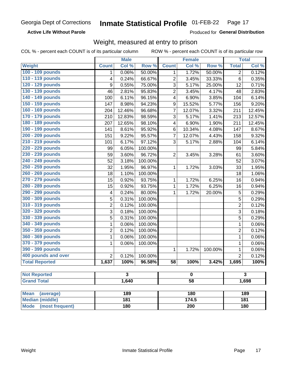**Active Life Without Parole** 

Produced for General Distribution

# Weight, measured at entry to prison

COL % - percent each COUNT is of its particular column

|                          |                | <b>Male</b>             |                  |                  | <b>Female</b>       |                         |                | <b>Total</b> |  |
|--------------------------|----------------|-------------------------|------------------|------------------|---------------------|-------------------------|----------------|--------------|--|
| <b>Weight</b>            | <b>Count</b>   | Col %                   | Row <sup>%</sup> | <b>Count</b>     | Col %               | Row %                   | <b>Total</b>   | Col %        |  |
| 100 - 109 pounds         | 1              | 0.06%                   | 50.00%           | 1                | 1.72%               | 50.00%                  | $\overline{2}$ | 0.12%        |  |
| 110 - 119 pounds         | 4              | 0.24%                   | 66.67%           | $\overline{2}$   | 3.45%               | 33.33%                  | 6              | 0.35%        |  |
| 120 - 129 pounds         | 9              | 0.55%                   | 75.00%           | 3                | 5.17%               | 25.00%                  | 12             | 0.71%        |  |
| 130 - 139 pounds         | 46             | 2.81%                   | 95.83%           | $\overline{c}$   | 3.45%               | 4.17%                   | 48             | 2.83%        |  |
| 140 - 149 pounds         | 100            | 6.11%                   | 96.15%           | 4                | 6.90%               | 3.85%                   | 104            | 6.14%        |  |
| 150 - 159 pounds         | 147            | 8.98%                   | 94.23%           | $\boldsymbol{9}$ | 15.52%              | 5.77%                   | 156            | 9.20%        |  |
| 160 - 169 pounds         | 204            | 12.46%                  | 96.68%           | 7                | 12.07%              | 3.32%                   | 211            | 12.45%       |  |
| 170 - 179 pounds         | 210            | 12.83%                  | 98.59%           | 3                | 5.17%               | 1.41%                   | 213            | 12.57%       |  |
| 180 - 189 pounds         | 207            | 12.65%                  | 98.10%           | 4                | 6.90%               | 1.90%                   | 211            | 12.45%       |  |
| 190 - 199 pounds         | 141            | 8.61%                   | 95.92%           | 6                | 10.34%              | 4.08%                   | 147            | 8.67%        |  |
| 200 - 209 pounds         | 151            | 9.22%                   | 95.57%           | 7                | 12.07%              | 4.43%                   | 158            | 9.32%        |  |
| 210 - 219 pounds         | 101            | 6.17%                   | 97.12%           | 3                | 5.17%               | 2.88%                   | 104            | 6.14%        |  |
| 220 - 229 pounds         | 99             | 6.05%                   | 100.00%          |                  |                     |                         | 99             | 5.84%        |  |
| 230 - 239 pounds         | 59             | 3.60%                   | 96.72%           | $\overline{2}$   | 3.45%               | 3.28%                   | 61             | 3.60%        |  |
| 240 - 249 pounds         | 52             | 3.18%                   | 100.00%          |                  |                     |                         | 52             | 3.07%        |  |
| 250 - 259 pounds         | 32             | 1.95%                   | 96.97%           | 1                | $\overline{1.72\%}$ | 3.03%                   | 33             | 1.95%        |  |
| 260 - 269 pounds         | 18             | 1.10%                   | 100.00%          |                  |                     |                         | 18             | 1.06%        |  |
| 270 - 279 pounds         | 15             | 0.92%                   | 93.75%           | 1                | 1.72%               | 6.25%                   | 16             | 0.94%        |  |
| 280 - 289 pounds         | 15             | 0.92%                   | 93.75%           | 1                | 1.72%               | 6.25%                   | 16             | 0.94%        |  |
| 290 - 299 pounds         | 4              | 0.24%                   | 80.00%           | 1                | 1.72%               | 20.00%                  | 5              | 0.29%        |  |
| 300 - 309 pounds         | 5              | 0.31%                   | 100.00%          |                  |                     |                         | 5              | 0.29%        |  |
| 310 - 319 pounds         | $\overline{2}$ | 0.12%                   | 100.00%          |                  |                     |                         | $\overline{c}$ | 0.12%        |  |
| 320 - 329 pounds         | 3              | 0.18%                   | 100.00%          |                  |                     |                         | 3              | 0.18%        |  |
| 330 - 339 pounds         | 5              | 0.31%                   | 100.00%          |                  |                     |                         | 5              | 0.29%        |  |
| 340 - 349 pounds         | 1              | 0.06%                   | 100.00%          |                  |                     |                         | $\mathbf{1}$   | 0.06%        |  |
| 350 - 359 pounds         | $\overline{2}$ | 0.12%                   | 100.00%          |                  |                     |                         | $\overline{2}$ | 0.12%        |  |
| 360 - 369 pounds         | 1              | 0.06%                   | 100.00%          |                  |                     |                         | $\mathbf 1$    | 0.06%        |  |
| 370 - 379 pounds         | 1              | 0.06%                   | 100.00%          |                  |                     |                         | $\mathbf 1$    | 0.06%        |  |
| 390 - 399 pounds         |                |                         |                  | $\mathbf{1}$     | 1.72%               | 100.00%                 | $\mathbf 1$    | 0.06%        |  |
| 400 pounds and over      | $\overline{2}$ | 0.12%                   | 100.00%          |                  |                     |                         | $\overline{2}$ | 0.12%        |  |
| <b>Total Reported</b>    | 1,637          | 100%                    | 96.58%           | 58               | 100%                | 3.42%                   | 1,695          | 100%         |  |
|                          |                |                         |                  |                  |                     |                         |                |              |  |
| <b>Not Reported</b>      |                | $\overline{\mathbf{3}}$ |                  |                  | $\mathbf 0$         | $\overline{\mathbf{3}}$ |                |              |  |
| <b>Grand Total</b>       |                | 1,640                   |                  |                  | $\overline{58}$     |                         |                | 1,698        |  |
| <b>Mean</b><br>(average) |                | 189                     |                  |                  | 180                 |                         |                | 189          |  |
| <b>Median (middle)</b>   |                | 181                     |                  |                  | 174.5               |                         |                | 181          |  |
| Mode (most frequent)     |                | <b>180</b>              |                  | 200              |                     |                         | <b>180</b>     |              |  |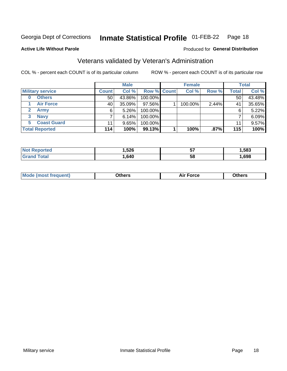#### **Inmate Statistical Profile 01-FEB-22** Page 18

Produced for General Distribution

### **Active Life Without Parole**

# Veterans validated by Veteran's Administration

COL % - percent each COUNT is of its particular column

|                          |              | <b>Male</b> |                    | <b>Female</b> |       |              | <b>Total</b> |
|--------------------------|--------------|-------------|--------------------|---------------|-------|--------------|--------------|
| <b>Military service</b>  | <b>Count</b> | Col %       | <b>Row % Count</b> | Col %         | Row % | <b>Total</b> | Col %        |
| <b>Others</b><br>0       | 50           | 43.86%      | 100.00%            |               |       | 50           | 43.48%       |
| <b>Air Force</b>         | 40           | 35.09%      | 97.56%             | 100.00%       | 2.44% | 41           | 35.65%       |
| <b>Army</b>              | 6            | $5.26\%$    | 100.00%            |               |       | 6            | 5.22%        |
| <b>Navy</b><br>3         |              | 6.14%       | 100.00%            |               |       |              | 6.09%        |
| <b>Coast Guard</b><br>5. | 11           | $9.65\%$    | 100.00%            |               |       | 11           | 9.57%        |
| <b>Total Reported</b>    | 114          | 100%        | 99.13%             | 100%          | .87%  | 115          | 100%         |

| тес          | .526<br>. | --<br>IJ | .583 |
|--------------|-----------|----------|------|
| <b>cotal</b> | .640      | 5٤       | ,698 |

| Mo<br>りへいい<br>,<br><b>Dthers</b><br>w<br>____<br>____ |
|-------------------------------------------------------|
|-------------------------------------------------------|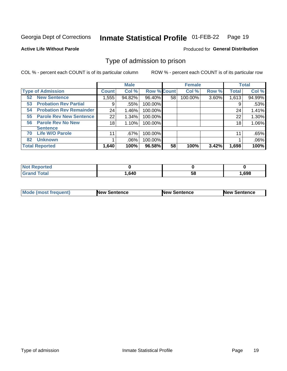#### Inmate Statistical Profile 01-FEB-22 Page 19

**Active Life Without Parole** 

Produced for General Distribution

# Type of admission to prison

COL % - percent each COUNT is of its particular column

|                                      |              | <b>Male</b> |                    |    | <b>Female</b> |       |              | <b>Total</b> |
|--------------------------------------|--------------|-------------|--------------------|----|---------------|-------|--------------|--------------|
| <b>Type of Admission</b>             | <b>Count</b> | Col %       | <b>Row % Count</b> |    | Col %         | Row % | <b>Total</b> | Col %        |
| <b>52 New Sentence</b>               | 1,555        | 94.82%      | 96.40%             | 58 | 100.00%       | 3.60% | 1,613        | 94.99%       |
| <b>Probation Rev Partial</b><br>53   | 9            | .55%        | 100.00%            |    |               |       | 9            | .53%         |
| <b>Probation Rev Remainder</b><br>54 | 24           | 1.46%       | 100.00%            |    |               |       | 24           | 1.41%        |
| <b>Parole Rev New Sentence</b><br>55 | 22           | 1.34%       | 100.00%            |    |               |       | 22           | 1.30%        |
| <b>Parole Rev No New</b><br>56       | 18           | 1.10%       | 100.00%            |    |               |       | 18           | 1.06%        |
| <b>Sentence</b>                      |              |             |                    |    |               |       |              |              |
| <b>Life W/O Parole</b><br>70         | 11           | $.67\%$     | 100.00%            |    |               |       | 11           | .65%         |
| <b>Unknown</b><br>82                 |              | $.06\%$     | 100.00%            |    |               |       |              | .06%         |
| <b>Total Reported</b>                | 1,640        | 100%        | 96.58%             | 58 | 100%          | 3.42% | 1,698        | 100%         |

| <b>Not Reported</b> |        |    |      |
|---------------------|--------|----|------|
| <b>Grand Total</b>  | 640, ا | ວບ | ,698 |

| <b>Mode (most frequent)</b> | <b>New Sentence</b> | <b>New Sentence</b> | <b>New Sentence</b> |
|-----------------------------|---------------------|---------------------|---------------------|
|                             |                     |                     |                     |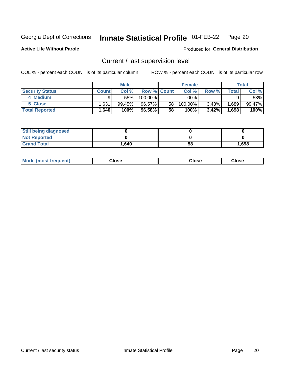#### Inmate Statistical Profile 01-FEB-22 Page 20

**Active Life Without Parole** 

Produced for General Distribution

# Current / last supervision level

COL % - percent each COUNT is of its particular column

|                        |                   | <b>Male</b> |                    |                 | <b>Female</b> |       |       | <b>Total</b> |
|------------------------|-------------------|-------------|--------------------|-----------------|---------------|-------|-------|--------------|
| <b>Security Status</b> | <b>Count</b>      | Col%        | <b>Row % Count</b> |                 | Col %         | Row % | Total | Col %        |
| 4 Medium               | Q                 | .55% !      | 100.00%            |                 | .00%          |       |       | .53%         |
| 5 Close                | .631              | 99.45%      | 96.57%             | 58 <sub>1</sub> | 100.00%       | 3.43% | .689  | 99.47%       |
| <b>Total Reported</b>  | $.640$ $^{\circ}$ | 100%        | 96.58%             | 58              | 100%          | 3.42% | .698  | 100%         |

| <b>Still being diagnosed</b> |       |    |       |
|------------------------------|-------|----|-------|
| <b>Not Reported</b>          |       |    |       |
| <b>Grand Total</b>           | 1,640 | 58 | 1,698 |

| <b>AhoM</b><br>rreauent) | <b>Close</b> | Close | Close |
|--------------------------|--------------|-------|-------|
|                          |              |       |       |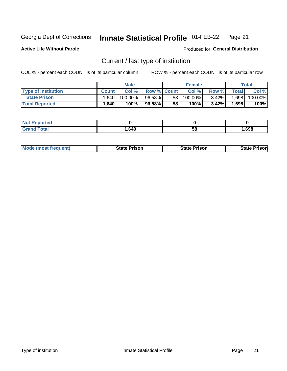#### Inmate Statistical Profile 01-FEB-22 Page 21

**Active Life Without Parole** 

Produced for General Distribution

# Current / last type of institution

COL % - percent each COUNT is of its particular column

|                            |                    | <b>Male</b> |                    |    | <b>Female</b> |          |       | Total   |
|----------------------------|--------------------|-------------|--------------------|----|---------------|----------|-------|---------|
| <b>Type of Institution</b> | <b>Count</b>       | Col %       | <b>Row % Count</b> |    | Col %         | Row %    | Total | Col %   |
| <b>State Prison</b>        | 1.640 <sub>1</sub> | $100.00\%$  | $96.58\%$          | 58 | $100.00\%$    | $3.42\%$ | .698  | 100.00% |
| <b>Total Reported</b>      | .640               | 100%        | 96.58%             | 58 | $100\%$       | $3.42\%$ | 1,698 | 100%    |

| rted<br>. |      |    |      |
|-----------|------|----|------|
|           | ,640 | ວເ | .698 |

|  | <b>Mode (most frequent)</b> | State Prison | <b>State Prison</b> | <b>State Prison</b> |
|--|-----------------------------|--------------|---------------------|---------------------|
|--|-----------------------------|--------------|---------------------|---------------------|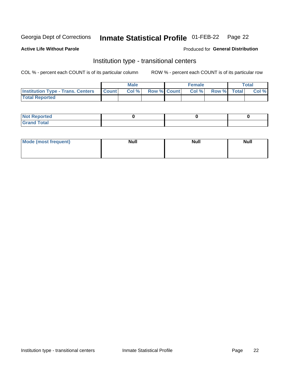#### **Inmate Statistical Profile 01-FEB-22** Page 22

**Active Life Without Parole** 

### Produced for General Distribution

# Institution type - transitional centers

COL % - percent each COUNT is of its particular column

|                                          |              | <b>Male</b> |                    | <b>Female</b> |             | <b>Total</b> |
|------------------------------------------|--------------|-------------|--------------------|---------------|-------------|--------------|
| <b>Institution Type - Trans. Centers</b> | <b>Count</b> | CoI%        | <b>Row % Count</b> | Col %         | Row % Total | Col %        |
| <b>Total Reported</b>                    |              |             |                    |               |             |              |

| <b>Reported</b><br><b>NOT</b><br>$\sim$            |  |  |
|----------------------------------------------------|--|--|
| $f$ $f \circ f \circ f$<br>$C = 1$<br><b>TULAI</b> |  |  |

| Mode (most frequent) | <b>Null</b> | <b>Null</b> | <b>Null</b> |
|----------------------|-------------|-------------|-------------|
|                      |             |             |             |
|                      |             |             |             |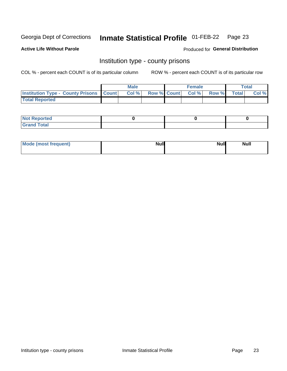#### **Inmate Statistical Profile 01-FEB-22** Page 23

**Active Life Without Parole** 

**Produced for General Distribution** 

# Institution type - county prisons

COL % - percent each COUNT is of its particular column

|                                                    | <b>Male</b> |       |  | <b>Female</b> |                          |             | <b>Total</b> |       |
|----------------------------------------------------|-------------|-------|--|---------------|--------------------------|-------------|--------------|-------|
| <b>Institution Type - County Prisons   Count  </b> |             | Col % |  |               | <b>Row % Count Col %</b> | Row % Total |              | Col % |
| <b>Total Reported</b>                              |             |       |  |               |                          |             |              |       |

| <b>Not Reported</b>   |  |  |
|-----------------------|--|--|
| <b>Total</b><br>Granc |  |  |

| Mode (most frequent) | <b>Null</b> | <b>Null</b><br><b>Null</b> |
|----------------------|-------------|----------------------------|
|                      |             |                            |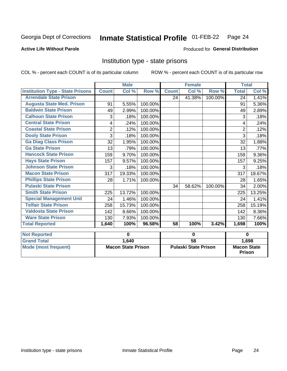#### Inmate Statistical Profile 01-FEB-22 Page 24

### **Active Life Without Parole**

### Produced for General Distribution

# Institution type - state prisons

|                                         |                           | <b>Male</b> |                             | <b>Female</b> |                 |                                       | <b>Total</b>   |        |
|-----------------------------------------|---------------------------|-------------|-----------------------------|---------------|-----------------|---------------------------------------|----------------|--------|
| <b>Institution Type - State Prisons</b> | <b>Count</b>              | Col %       | Row %                       | <b>Count</b>  | Col %           | Row %                                 | <b>Total</b>   | Col %  |
| <b>Arrendale State Prison</b>           |                           |             |                             | 24            | 41.38%          | 100.00%                               | 24             | 1.41%  |
| <b>Augusta State Med. Prison</b>        | 91                        | 5.55%       | 100.00%                     |               |                 |                                       | 91             | 5.36%  |
| <b>Baldwin State Prison</b>             | 49                        | 2.99%       | 100.00%                     |               |                 |                                       | 49             | 2.89%  |
| <b>Calhoun State Prison</b>             | 3                         | .18%        | 100.00%                     |               |                 |                                       | 3              | .18%   |
| <b>Central State Prison</b>             | 4                         | .24%        | 100.00%                     |               |                 |                                       | 4              | .24%   |
| <b>Coastal State Prison</b>             | $\overline{2}$            | .12%        | 100.00%                     |               |                 |                                       | $\overline{2}$ | .12%   |
| <b>Dooly State Prison</b>               | 3                         | .18%        | 100.00%                     |               |                 |                                       | 3              | .18%   |
| <b>Ga Diag Class Prison</b>             | 32                        | 1.95%       | 100.00%                     |               |                 |                                       | 32             | 1.88%  |
| <b>Ga State Prison</b>                  | 13                        | .79%        | 100.00%                     |               |                 |                                       | 13             | .77%   |
| <b>Hancock State Prison</b>             | 159                       | 9.70%       | 100.00%                     |               |                 |                                       | 159            | 9.36%  |
| <b>Hays State Prison</b>                | 157                       | 9.57%       | 100.00%                     |               |                 |                                       | 157            | 9.25%  |
| <b>Johnson State Prison</b>             | 3                         | .18%        | 100.00%                     |               |                 |                                       | 3              | .18%   |
| <b>Macon State Prison</b>               | 317                       | 19.33%      | 100.00%                     |               |                 |                                       | 317            | 18.67% |
| <b>Phillips State Prison</b>            | 28                        | 1.71%       | 100.00%                     |               |                 |                                       | 28             | 1.65%  |
| <b>Pulaski State Prison</b>             |                           |             |                             | 34            | 58.62%          | 100.00%                               | 34             | 2.00%  |
| <b>Smith State Prison</b>               | 225                       | 13.72%      | 100.00%                     |               |                 |                                       | 225            | 13.25% |
| <b>Special Management Unit</b>          | 24                        | 1.46%       | 100.00%                     |               |                 |                                       | 24             | 1.41%  |
| <b>Telfair State Prison</b>             | 258                       | 15.73%      | 100.00%                     |               |                 |                                       | 258            | 15.19% |
| <b>Valdosta State Prison</b>            | 142                       | 8.66%       | 100.00%                     |               |                 |                                       | 142            | 8.36%  |
| <b>Ware State Prison</b>                | 130                       | 7.93%       | 100.00%                     |               |                 |                                       | 130            | 7.66%  |
| <b>Total Reported</b>                   | 1,640                     | 100%        | 96.58%                      | 58            | 100%            | 3.42%                                 | 1,698          | 100%   |
| <b>Not Reported</b>                     |                           | $\bf{0}$    |                             | $\bf{0}$      |                 |                                       | $\bf{0}$       |        |
| <b>Grand Total</b>                      |                           | 1,640       |                             |               | $\overline{58}$ |                                       |                |        |
| <b>Mode (most frequent)</b>             | <b>Macon State Prison</b> |             | <b>Pulaski State Prison</b> |               |                 | 1,698<br><b>Macon State</b><br>Prison |                |        |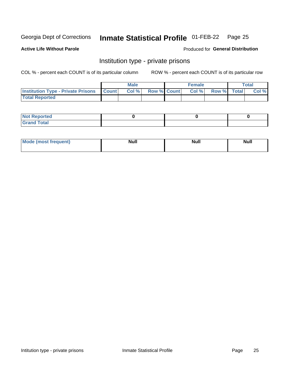#### **Inmate Statistical Profile 01-FEB-22** Page 25

### **Active Life Without Parole**

### Produced for General Distribution

# Institution type - private prisons

COL % - percent each COUNT is of its particular column

|                                                 | <b>Male</b> |       |                    | <b>Female</b> |       |             | Total |       |
|-------------------------------------------------|-------------|-------|--------------------|---------------|-------|-------------|-------|-------|
| <b>Institution Type - Private Prisons Count</b> |             | Col % | <b>Row % Count</b> |               | Col % | Row % Total |       | Col % |
| <b>Total Reported</b>                           |             |       |                    |               |       |             |       |       |

| Not Reported          |  |  |
|-----------------------|--|--|
| <b>Cotal</b><br>_____ |  |  |

| <b>Mo</b><br>frequent) | <b>Null</b> | <b>Null</b> | . . I *<br><b>IVUII</b> |
|------------------------|-------------|-------------|-------------------------|
|                        |             |             |                         |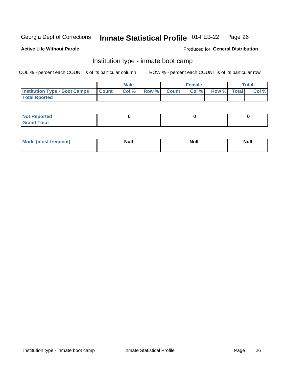#### Inmate Statistical Profile 01-FEB-22 Page 26

### **Active Life Without Parole**

### Produced for General Distribution

# Institution type - inmate boot camp

COL % - percent each COUNT is of its particular column

|                                      | <b>Male</b>  |       |               |              | <b>Female</b> | <b>Total</b> |  |       |
|--------------------------------------|--------------|-------|---------------|--------------|---------------|--------------|--|-------|
| <b>Institution Type - Boot Camps</b> | <b>Count</b> | Col % | <b>Row %I</b> | <b>Count</b> | Col %         | Row % Total  |  | Col % |
| <b>Total Rported</b>                 |              |       |               |              |               |              |  |       |

| <b>Not Reported</b>            |  |  |
|--------------------------------|--|--|
| <b>Total</b><br>C <sub>r</sub> |  |  |

| Mod<br>uamo | Nul.<br>$- - - - - -$ | <b>Null</b> | <br>uu.<br>------ |
|-------------|-----------------------|-------------|-------------------|
|             |                       |             |                   |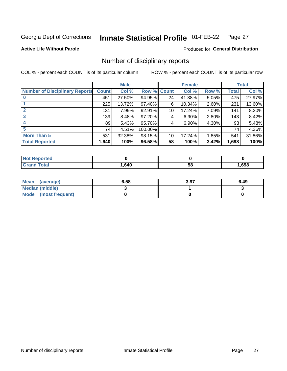#### Inmate Statistical Profile 01-FEB-22 Page 27

**Active Life Without Parole** 

**Produced for General Distribution** 

# Number of disciplinary reports

COL % - percent each COUNT is of its particular column

|                                       | <b>Male</b>  |        |                    |    | <b>Female</b> | <b>Total</b> |       |        |
|---------------------------------------|--------------|--------|--------------------|----|---------------|--------------|-------|--------|
| <b>Number of Disciplinary Reports</b> | <b>Count</b> | Col %  | <b>Row % Count</b> |    | Col %         | Row %        | Total | Col %  |
|                                       | 451          | 27.50% | 94.95%             | 24 | 41.38%        | $5.05\%$     | 475   | 27.97% |
|                                       | 225          | 13.72% | 97.40%             | 6  | 10.34%        | 2.60%        | 231   | 13.60% |
|                                       | 131          | 7.99%  | 92.91%             | 10 | 17.24%        | 7.09%        | 141   | 8.30%  |
| 3                                     | 139          | 8.48%  | 97.20%             | 4  | 6.90%         | 2.80%        | 143   | 8.42%  |
|                                       | 89           | 5.43%  | 95.70%             | 4  | 6.90%         | 4.30%        | 93    | 5.48%  |
| 5                                     | 74           | 4.51%  | 100.00%            |    |               |              | 74    | 4.36%  |
| <b>More Than 5</b>                    | 531          | 32.38% | 98.15%             | 10 | 17.24%        | 1.85%        | 541   | 31.86% |
| <b>Total Reported</b>                 | 1,640        | 100%   | 96.58%             | 58 | 100%          | 3.42%        | 1,698 | 100%   |

| 'ted |      |    |      |
|------|------|----|------|
|      | .640 | Эō | ,698 |

| Mean (average)       | 6.58 | 3.97 | 6.49 |
|----------------------|------|------|------|
| Median (middle)      |      |      |      |
| Mode (most frequent) |      |      |      |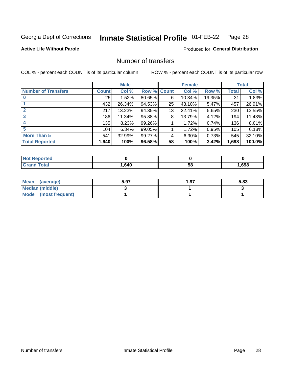#### **Inmate Statistical Profile 01-FEB-22** Page 28

**Active Life Without Parole** 

**Produced for General Distribution** 

# Number of transfers

COL % - percent each COUNT is of its particular column

|                            |         | <b>Male</b> |        |              | <b>Female</b> |        |              | <b>Total</b> |
|----------------------------|---------|-------------|--------|--------------|---------------|--------|--------------|--------------|
| <b>Number of Transfers</b> | Count l | Col %       | Row %  | <b>Count</b> | Col %         | Row %  | <b>Total</b> | Col %        |
|                            | 25      | 1.52%       | 80.65% | 6            | 10.34%        | 19.35% | 31           | 1.83%        |
|                            | 432     | 26.34%      | 94.53% | 25           | 43.10%        | 5.47%  | 457          | 26.91%       |
| $\mathbf{2}$               | 217     | 13.23%      | 94.35% | 13           | 22.41%        | 5.65%  | 230          | 13.55%       |
| 3                          | 186     | 11.34%      | 95.88% | 8            | 13.79%        | 4.12%  | 194          | 11.43%       |
|                            | 135     | 8.23%       | 99.26% |              | 1.72%         | 0.74%  | 136          | 8.01%        |
| 5                          | 104     | 6.34%       | 99.05% |              | 1.72%         | 0.95%  | 105          | 6.18%        |
| <b>More Than 5</b>         | 541     | 32.99%      | 99.27% | 4            | 6.90%         | 0.73%  | 545          | 32.10%       |
| <b>Total Reported</b>      | 1,640   | 100%        | 96.58% | 58           | 100%          | 3.42%  | 1,698        | 100.0%       |

| prted<br>NOT RADO |      |    |      |
|-------------------|------|----|------|
| <sup>-</sup> otal | .640 | 58 | .698 |

| Mean (average)       | 5.97 | 97. ، | 5.83 |
|----------------------|------|-------|------|
| Median (middle)      |      |       |      |
| Mode (most frequent) |      |       |      |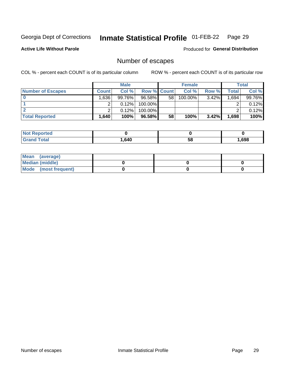#### **Inmate Statistical Profile 01-FEB-22** Page 29

**Active Life Without Parole** 

Produced for General Distribution

# Number of escapes

COL % - percent each COUNT is of its particular column

|                          |         | <b>Male</b> |                    |    | <b>Female</b> |          |       | <b>Total</b> |
|--------------------------|---------|-------------|--------------------|----|---------------|----------|-------|--------------|
| <b>Number of Escapes</b> | Count l | Col %       | <b>Row % Count</b> |    | Col %         | Row %    | Total | Col %        |
|                          | .636    | 99.76%      | 96.58%             | 58 | 100.00%       | $3.42\%$ | 1,694 | 99.76%       |
|                          |         | 0.12%       | 100.00%            |    |               |          |       | 0.12%        |
|                          |         | 0.12%       | $100.00\%$         |    |               |          |       | 0.12%        |
| <b>Total Reported</b>    | ˈ 640،، | 100%        | 96.58%             | 58 | 100%          | 3.42%    | 1,698 | 100%         |

| <b>Not Reported</b> |      |    |      |
|---------------------|------|----|------|
| <b>Grand Total</b>  | .640 | 58 | ,698 |

| Mean (average)       |  |  |
|----------------------|--|--|
| Median (middle)      |  |  |
| Mode (most frequent) |  |  |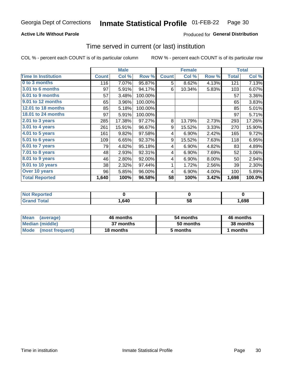## **Active Life Without Parole**

# **Produced for General Distribution**

# Time served in current (or last) institution

COL % - percent each COUNT is of its particular column

|                            |              | <b>Male</b> |         |              | <b>Female</b> |       | <b>Total</b> |        |
|----------------------------|--------------|-------------|---------|--------------|---------------|-------|--------------|--------|
| <b>Time In Institution</b> | <b>Count</b> | Col %       | Row %   | <b>Count</b> | Col %         | Row % | <b>Total</b> | Col %  |
| 0 to 3 months              | 116          | 7.07%       | 95.87%  | 5            | 8.62%         | 4.13% | 121          | 7.13%  |
| 3.01 to 6 months           | 97           | 5.91%       | 94.17%  | 6            | 10.34%        | 5.83% | 103          | 6.07%  |
| 6.01 to 9 months           | 57           | 3.48%       | 100.00% |              |               |       | 57           | 3.36%  |
| 9.01 to 12 months          | 65           | 3.96%       | 100.00% |              |               |       | 65           | 3.83%  |
| 12.01 to 18 months         | 85           | 5.18%       | 100.00% |              |               |       | 85           | 5.01%  |
| <b>18.01 to 24 months</b>  | 97           | 5.91%       | 100.00% |              |               |       | 97           | 5.71%  |
| 2.01 to 3 years            | 285          | 17.38%      | 97.27%  | 8            | 13.79%        | 2.73% | 293          | 17.26% |
| 3.01 to 4 years            | 261          | 15.91%      | 96.67%  | 9            | 15.52%        | 3.33% | 270          | 15.90% |
| 4.01 to 5 years            | 161          | 9.82%       | 97.58%  | 4            | 6.90%         | 2.42% | 165          | 9.72%  |
| 5.01 to 6 years            | 109          | 6.65%       | 92.37%  | 9            | 15.52%        | 7.63% | 118          | 6.95%  |
| 6.01 to 7 years            | 79           | 4.82%       | 95.18%  | 4            | 6.90%         | 4.82% | 83           | 4.89%  |
| $7.01$ to 8 years          | 48           | 2.93%       | 92.31%  | 4            | 6.90%         | 7.69% | 52           | 3.06%  |
| $8.01$ to 9 years          | 46           | 2.80%       | 92.00%  | 4            | 6.90%         | 8.00% | 50           | 2.94%  |
| 9.01 to 10 years           | 38           | 2.32%       | 97.44%  | 1            | 1.72%         | 2.56% | 39           | 2.30%  |
| Over 10 years              | 96           | 5.85%       | 96.00%  | 4            | 6.90%         | 4.00% | 100          | 5.89%  |
| <b>Total Reported</b>      | 1,640        | 100%        | 96.58%  | 58           | 100%          | 3.42% | 1,698        | 100.0% |

| <b>Not Reported</b>   |        |   |      |
|-----------------------|--------|---|------|
| <b>Total</b><br>Grand | 640, ، | ວ | ,698 |

| <b>Mean</b><br>(average) | 46 months | 54 months | 46 months |
|--------------------------|-----------|-----------|-----------|
| Median (middle)          | 37 months | 50 months | 38 months |
| Mode (most frequent)     | 18 months | 5 months  | 1 months  |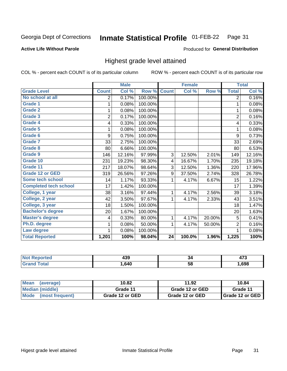#### Inmate Statistical Profile 01-FEB-22 Page 31

### **Active Life Without Parole**

### Produced for General Distribution

# Highest grade level attained

COL % - percent each COUNT is of its particular column

|                              |                | <b>Male</b> |         |              | <b>Female</b> |        |                | <b>Total</b> |
|------------------------------|----------------|-------------|---------|--------------|---------------|--------|----------------|--------------|
| <b>Grade Level</b>           | <b>Count</b>   | Col %       | Row %   | <b>Count</b> | Col %         | Row %  | <b>Total</b>   | Col %        |
| No school at all             | 2              | 0.17%       | 100.00% |              |               |        | $\overline{2}$ | 0.16%        |
| <b>Grade 1</b>               | 1              | 0.08%       | 100.00% |              |               |        | 1              | 0.08%        |
| <b>Grade 2</b>               | 1              | 0.08%       | 100.00% |              |               |        | 1              | 0.08%        |
| <b>Grade 3</b>               | $\overline{2}$ | 0.17%       | 100.00% |              |               |        | $\overline{2}$ | 0.16%        |
| <b>Grade 4</b>               | 4              | 0.33%       | 100.00% |              |               |        | 4              | 0.33%        |
| <b>Grade 5</b>               | 1              | 0.08%       | 100.00% |              |               |        | 1              | 0.08%        |
| Grade 6                      | 9              | 0.75%       | 100.00% |              |               |        | 9              | 0.73%        |
| Grade 7                      | 33             | 2.75%       | 100.00% |              |               |        | 33             | 2.69%        |
| Grade 8                      | 80             | 6.66%       | 100.00% |              |               |        | 80             | 6.53%        |
| Grade 9                      | 146            | 12.16%      | 97.99%  | 3            | 12.50%        | 2.01%  | 149            | 12.16%       |
| Grade 10                     | 231            | 19.23%      | 98.30%  | 4            | 16.67%        | 1.70%  | 235            | 19.18%       |
| Grade 11                     | 217            | 18.07%      | 98.64%  | 3            | 12.50%        | 1.36%  | 220            | 17.96%       |
| <b>Grade 12 or GED</b>       | 319            | 26.56%      | 97.26%  | 9            | 37.50%        | 2.74%  | 328            | 26.78%       |
| Some tech school             | 14             | 1.17%       | 93.33%  | 1            | 4.17%         | 6.67%  | 15             | 1.22%        |
| <b>Completed tech school</b> | 17             | 1.42%       | 100.00% |              |               |        | 17             | 1.39%        |
| College, 1 year              | 38             | 3.16%       | 97.44%  | 1            | 4.17%         | 2.56%  | 39             | 3.18%        |
| College, 2 year              | 42             | 3.50%       | 97.67%  | 1            | 4.17%         | 2.33%  | 43             | 3.51%        |
| College, 3 year              | 18             | 1.50%       | 100.00% |              |               |        | 18             | 1.47%        |
| <b>Bachelor's degree</b>     | 20             | 1.67%       | 100.00% |              |               |        | 20             | 1.63%        |
| <b>Master's degree</b>       | 4              | 0.33%       | 80.00%  | 1            | 4.17%         | 20.00% | 5              | 0.41%        |
| Ph.D. degree                 | 1              | 0.08%       | 50.00%  | 1            | 4.17%         | 50.00% | $\overline{2}$ | 0.16%        |
| Law degree                   |                | 0.08%       | 100.00% |              |               |        | 1              | 0.08%        |
| <b>Total Reported</b>        | 1,201          | 100%        | 98.04%  | 24           | 100.0%        | 1.96%  | 1,225          | 100%         |

| rteo<br>NO | . מ<br>493 | ٥4 |      |
|------------|------------|----|------|
|            | .640       | 58 | .698 |

| <b>Mean</b><br>(average) | 10.82           | 11.92           | 10.84                    |
|--------------------------|-----------------|-----------------|--------------------------|
| Median (middle)          | Grade 11        | Grade 12 or GED | Grade 11                 |
| Mode (most frequent)     | Grade 12 or GED | Grade 12 or GED | <b>I</b> Grade 12 or GED |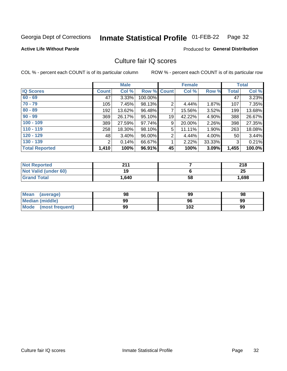#### **Inmate Statistical Profile 01-FEB-22** Page 32

### **Active Life Without Parole**

### **Produced for General Distribution**

# Culture fair IQ scores

COL % - percent each COUNT is of its particular column

|                       | <b>Male</b>  |        | <b>Female</b> |    |        | <b>Total</b> |       |        |
|-----------------------|--------------|--------|---------------|----|--------|--------------|-------|--------|
| <b>IQ Scores</b>      | <b>Count</b> | Col %  | Row % Count   |    | Col %  | Row %        | Total | Col %  |
| $60 - 69$             | 47           | 3.33%  | 100.00%       |    |        |              | 47    | 3.23%  |
| $70 - 79$             | 105          | 7.45%  | 98.13%        | 2  | 4.44%  | 1.87%        | 107   | 7.35%  |
| $80 - 89$             | 192          | 13.62% | 96.48%        | 7  | 15.56% | 3.52%        | 199   | 13.68% |
| $90 - 99$             | 369          | 26.17% | 95.10%        | 19 | 42.22% | 4.90%        | 388   | 26.67% |
| $100 - 109$           | 389          | 27.59% | 97.74%        | 9  | 20.00% | 2.26%        | 398   | 27.35% |
| $110 - 119$           | 258          | 18.30% | 98.10%        | 5  | 11.11% | 1.90%        | 263   | 18.08% |
| $120 - 129$           | 48           | 3.40%  | 96.00%        | 2  | 4.44%  | 4.00%        | 50    | 3.44%  |
| $130 - 139$           | 2            | 0.14%  | 66.67%        | 1  | 2.22%  | 33.33%       | 3     | 0.21%  |
| <b>Total Reported</b> | 1,410        | 100%   | 96.91%        | 45 | 100%   | 3.09%        | 1,455 | 100.0% |

| <b>Not Reported</b>  | 944   |    | 218   |
|----------------------|-------|----|-------|
| Not Valid (under 60) | 19    |    | 25    |
| <b>Grand Total</b>   | 1,640 | 58 | 1,698 |

| Mean<br>(average)       | 98 | 99  | 98 |
|-------------------------|----|-----|----|
| <b>Median (middle)</b>  | 99 | 96  | 99 |
| Mode<br>(most frequent) | 99 | 102 | 99 |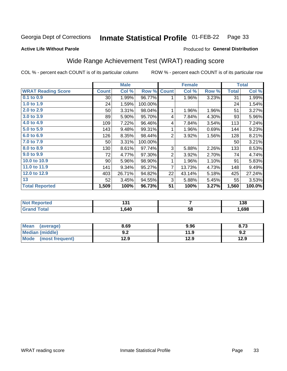#### Inmate Statistical Profile 01-FEB-22 Page 33

### **Active Life Without Parole**

# **Produced for General Distribution**

# Wide Range Achievement Test (WRAT) reading score

COL % - percent each COUNT is of its particular column

|                           | <b>Male</b>  |        | <b>Female</b> |                |        | <b>Total</b> |              |        |
|---------------------------|--------------|--------|---------------|----------------|--------|--------------|--------------|--------|
| <b>WRAT Reading Score</b> | <b>Count</b> | Col %  | Row %         | <b>Count</b>   | Col %  | Row %        | <b>Total</b> | Col %  |
| 0.1 to 0.9                | $30$         | 1.99%  | 96.77%        |                | 1.96%  | 3.23%        | 31           | 1.99%  |
| 1.0 to 1.9                | 24           | 1.59%  | 100.00%       |                |        |              | 24           | 1.54%  |
| 2.0 to 2.9                | 50           | 3.31%  | 98.04%        | 1              | 1.96%  | 1.96%        | 51           | 3.27%  |
| 3.0 to 3.9                | 89           | 5.90%  | 95.70%        | 4              | 7.84%  | 4.30%        | 93           | 5.96%  |
| 4.0 to 4.9                | 109          | 7.22%  | 96.46%        | 4              | 7.84%  | 3.54%        | 113          | 7.24%  |
| 5.0 to 5.9                | 143          | 9.48%  | 99.31%        | 1              | 1.96%  | 0.69%        | 144          | 9.23%  |
| 6.0 to 6.9                | 126          | 8.35%  | 98.44%        | $\overline{2}$ | 3.92%  | 1.56%        | 128          | 8.21%  |
| 7.0 to 7.9                | 50           | 3.31%  | 100.00%       |                |        |              | 50           | 3.21%  |
| 8.0 to 8.9                | 130          | 8.61%  | 97.74%        | 3              | 5.88%  | 2.26%        | 133          | 8.53%  |
| 9.0 to 9.9                | 72           | 4.77%  | 97.30%        | 2              | 3.92%  | 2.70%        | 74           | 4.74%  |
| 10.0 to 10.9              | 90           | 5.96%  | 98.90%        |                | 1.96%  | 1.10%        | 91           | 5.83%  |
| 11.0 to 11.9              | 141          | 9.34%  | 95.27%        | 7              | 13.73% | 4.73%        | 148          | 9.49%  |
| 12.0 to 12.9              | 403          | 26.71% | 94.82%        | 22             | 43.14% | 5.18%        | 425          | 27.24% |
| 13                        | 52           | 3.45%  | 94.55%        | 3              | 5.88%  | 5.45%        | 55           | 3.53%  |
| <b>Total Reported</b>     | 1,509        | 100%   | 96.73%        | 51             | 100%   | 3.27%        | 1,560        | 100.0% |
| <b>12.20</b>              |              |        |               |                |        |              |              |        |

| <b>Not</b>      | ה הו |    | 190  |
|-----------------|------|----|------|
| <b>Reported</b> | ו טו |    | סט ו |
| <b>otal</b>     | .640 | 58 | ,698 |

| <b>Mean</b><br>(average)       | 8.69         | 9.96 | 8.73 |
|--------------------------------|--------------|------|------|
| <b>Median (middle)</b>         | י ה<br>้ ⊎.∠ | 11.9 | 9.2  |
| <b>Mode</b><br>(most frequent) | 12.9         | 12.9 | 12.9 |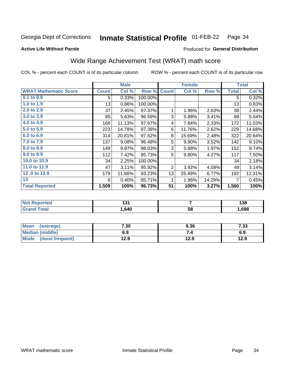#### Inmate Statistical Profile 01-FEB-22 Page 34

### **Active Life Without Parole**

# Produced for General Distribution

# Wide Range Achievement Test (WRAT) math score

COL % - percent each COUNT is of its particular column

|                              |              | <b>Male</b> |         | <b>Female</b> |                |        | <b>Total</b> |        |
|------------------------------|--------------|-------------|---------|---------------|----------------|--------|--------------|--------|
| <b>WRAT Mathematic Score</b> | <b>Count</b> | Col %       | Row %   | <b>Count</b>  | Col %          | Row %  | <b>Total</b> | Col %  |
| $0.1$ to $0.9$               | 5            | 0.33%       | 100.00% |               |                |        | 5            | 0.32%  |
| 1.0 to 1.9                   | 13           | 0.86%       | 100.00% |               |                |        | 13           | 0.83%  |
| 2.0 to 2.9                   | 37           | 2.45%       | 97.37%  | 1             | 1.96%          | 2.63%  | 38           | 2.44%  |
| 3.0 to 3.9                   | 85           | 5.63%       | 96.59%  | 3             | 5.88%          | 3.41%  | 88           | 5.64%  |
| 4.0 to 4.9                   | 168          | 11.13%      | 97.67%  | 4             | 7.84%          | 2.33%  | 172          | 11.03% |
| 5.0 to 5.9                   | 223          | 14.78%      | 97.38%  | 6             | 11.76%         | 2.62%  | 229          | 14.68% |
| 6.0 to 6.9                   | 314          | 20.81%      | 97.52%  | 8             | 15.69%         | 2.48%  | 322          | 20.64% |
| 7.0 to 7.9                   | 137          | 9.08%       | 96.48%  | 5             | 9.80%          | 3.52%  | 142          | 9.10%  |
| 8.0 to 8.9                   | 149          | 9.87%       | 98.03%  | 3             | 5.88%          | 1.97%  | 152          | 9.74%  |
| 9.0 to 9.9                   | 112          | 7.42%       | 95.73%  | 5             | 9.80%          | 4.27%  | 117          | 7.50%  |
| 10.0 to 10.9                 | 34           | 2.25%       | 100.00% |               |                |        | 34           | 2.18%  |
| 11.0 to 11.9                 | 47           | 3.11%       | 95.92%  | 2             | 3.92%          | 4.08%  | 49           | 3.14%  |
| 12.0 to 12.9                 | 179          | 11.86%      | 93.23%  | 13            | 25.49%         | 6.77%  | 192          | 12.31% |
| 13                           | 6            | 0.40%       | 85.71%  |               | 1.96%          | 14.29% | 7            | 0.45%  |
| <b>Total Reported</b>        | 1,509        | 100%        | 96.73%  | 51            | 100%           | 3.27%  | 1,560        | 100%   |
|                              |              |             |         |               |                |        |              |        |
| <b>Net Departed</b>          |              | 404         |         |               | $\overline{ }$ |        |              | 100    |

| . .  |    | .<br>טטו |
|------|----|----------|
| .640 | 58 | .698     |

| Mean (average)         | 7.30 | 8.36 | 7.33 |
|------------------------|------|------|------|
| <b>Median (middle)</b> | 6.9  |      | 6.9  |
| Mode (most frequent)   | 12.9 | 12.9 | 12.9 |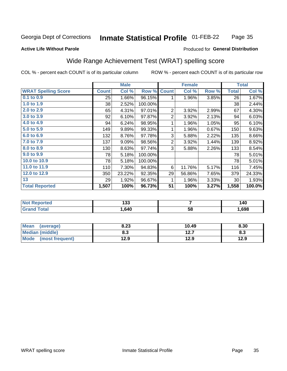#### **Inmate Statistical Profile 01-FEB-22** Page 35

### **Active Life Without Parole**

### Produced for General Distribution

# Wide Range Achievement Test (WRAT) spelling score

COL % - percent each COUNT is of its particular column

|                            |              | <b>Male</b> |         |                 | <b>Female</b>   |       |              | <b>Total</b> |
|----------------------------|--------------|-------------|---------|-----------------|-----------------|-------|--------------|--------------|
| <b>WRAT Spelling Score</b> | <b>Count</b> | Col %       | Row %   | <b>Count</b>    | Col %           | Row % | <b>Total</b> | Col %        |
| 0.1 to 0.9                 | 25           | 1.66%       | 96.15%  | 1               | 1.96%           | 3.85% | 26           | 1.67%        |
| 1.0 to 1.9                 | 38           | 2.52%       | 100.00% |                 |                 |       | 38           | 2.44%        |
| 2.0 to 2.9                 | 65           | 4.31%       | 97.01%  | $\overline{c}$  | 3.92%           | 2.99% | 67           | 4.30%        |
| 3.0 to 3.9                 | 92           | 6.10%       | 97.87%  | $\overline{2}$  | 3.92%           | 2.13% | 94           | 6.03%        |
| 4.0 to 4.9                 | 94           | 6.24%       | 98.95%  | 1               | 1.96%           | 1.05% | 95           | 6.10%        |
| 5.0 to 5.9                 | 149          | 9.89%       | 99.33%  | 1               | 1.96%           | 0.67% | 150          | 9.63%        |
| 6.0 to 6.9                 | 132          | 8.76%       | 97.78%  | 3               | 5.88%           | 2.22% | 135          | 8.66%        |
| 7.0 to 7.9                 | 137          | 9.09%       | 98.56%  | $\overline{2}$  | 3.92%           | 1.44% | 139          | 8.92%        |
| 8.0 to 8.9                 | 130          | 8.63%       | 97.74%  | 3               | 5.88%           | 2.26% | 133          | 8.54%        |
| 9.0 to 9.9                 | 78           | 5.18%       | 100.00% |                 |                 |       | 78           | 5.01%        |
| 10.0 to 10.9               | 78           | 5.18%       | 100.00% |                 |                 |       | 78           | 5.01%        |
| 11.0 to 11.9               | 110          | 7.30%       | 94.83%  | 6               | 11.76%          | 5.17% | 116          | 7.45%        |
| 12.0 to 12.9               | 350          | 23.22%      | 92.35%  | 29              | 56.86%          | 7.65% | 379          | 24.33%       |
| 13                         | 29           | 1.92%       | 96.67%  | 1               | 1.96%           | 3.33% | 30           | 1.93%        |
| <b>Total Reported</b>      | 1,507        | 100%        | 96.73%  | $\overline{51}$ | 100%            | 3.27% | 1,558        | 100.0%       |
|                            |              |             |         |                 |                 |       |              |              |
| <b>Not Reported</b>        |              | 133         |         |                 | $\overline{7}$  |       |              | 140          |
| <b>Grand Total</b>         |              | 1,640       |         |                 | $\overline{58}$ |       |              | 1,698        |

| <b>Mean</b><br>(average)       | 8.23 | 10.49             | 8.30 |
|--------------------------------|------|-------------------|------|
| <b>Median (middle)</b>         | 8.3  | 1つ フ<br><b>4.</b> | ი.ა  |
| <b>Mode</b><br>(most frequent) | 12.9 | 12.9              | 12.9 |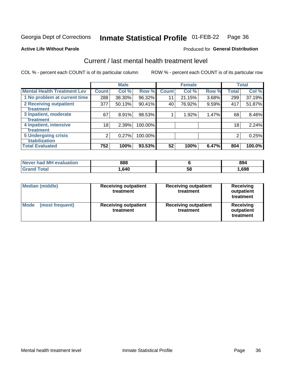#### **Inmate Statistical Profile 01-FEB-22** Page 36

### **Active Life Without Parole**

### Produced for General Distribution

# Current / last mental health treatment level

COL % - percent each COUNT is of its particular column

|                                    |              | <b>Male</b> |         |              | <b>Female</b> |       |              | <b>Total</b> |
|------------------------------------|--------------|-------------|---------|--------------|---------------|-------|--------------|--------------|
| <b>Mental Health Treatment Lev</b> | <b>Count</b> | Col %       | Row %   | <b>Count</b> | Col %         | Row % | <b>Total</b> | Col %        |
| 1 No problem at current time       | 288          | 38.30%      | 96.32%  | 11           | 21.15%        | 3.68% | 299          | 37.19%       |
| 2 Receiving outpatient             | 377          | 50.13%      | 90.41%  | 40           | 76.92%        | 9.59% | 417          | 51.87%       |
| <b>Treatment</b>                   |              |             |         |              |               |       |              |              |
| 3 Inpatient, moderate              | 67           | 8.91%       | 98.53%  |              | 1.92%         | 1.47% | 68           | 8.46%        |
| <b>Treatment</b>                   |              |             |         |              |               |       |              |              |
| 4 Inpatient, intensive             | 18           | 2.39%       | 100.00% |              |               |       | 18           | 2.24%        |
| Treatment                          |              |             |         |              |               |       |              |              |
| <b>5 Undergoing crisis</b>         | 2            | 0.27%       | 100.00% |              |               |       | 2            | 0.25%        |
| <b>stabilization</b>               |              |             |         |              |               |       |              |              |
| <b>Total Evaluated</b>             | 752          | 100%        | 93.53%  | 52           | 100%          | 6.47% | 804          | 100.0%       |

| Never had MH evaluation | 888    |    | 894  |
|-------------------------|--------|----|------|
| `otal                   | 640, ا | აშ | ,698 |

| <b>Median (middle)</b>         | <b>Receiving outpatient</b><br>treatment | <b>Receiving outpatient</b><br>treatment | <b>Receiving</b><br>outpatient<br>treatment |  |
|--------------------------------|------------------------------------------|------------------------------------------|---------------------------------------------|--|
| <b>Mode</b><br>(most frequent) | <b>Receiving outpatient</b><br>treatment | <b>Receiving outpatient</b><br>treatment | <b>Receiving</b><br>outpatient<br>treatment |  |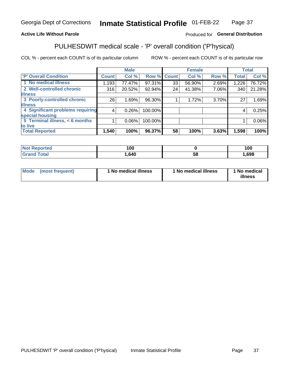#### **Inmate Statistical Profile 01-FEB-22** Page 37

# **Active Life Without Parole**

### Produced for General Distribution

# PULHESDWIT medical scale - 'P' overall condition ('P'hysical)

COL % - percent each COUNT is of its particular column

|                                  |         | <b>Male</b> |             |    | <b>Female</b> |       |              | <b>Total</b> |
|----------------------------------|---------|-------------|-------------|----|---------------|-------|--------------|--------------|
| 'P' Overall Condition            | Count l | Col %       | Row % Count |    | Col %         | Row % | <b>Total</b> | Col %        |
| 1 No medical illness             | 1,193   | 77.47%      | 97.31%      | 33 | 56.90%        | 2.69% | 1,226        | 76.72%       |
| 2 Well-controlled chronic        | 316     | 20.52%      | 92.94%      | 24 | 41.38%        | 7.06% | 340          | 21.28%       |
| <b>illness</b>                   |         |             |             |    |               |       |              |              |
| 3 Poorly-controlled chronic      | 26      | 1.69%       | 96.30%      |    | 1.72%         | 3.70% | 27           | 1.69%        |
| <b>illness</b>                   |         |             |             |    |               |       |              |              |
| 4 Significant problems requiring | 4       | 0.26%       | 100.00%     |    |               |       | 4            | 0.25%        |
| special housing                  |         |             |             |    |               |       |              |              |
| 5 Terminal illness, < 6 months   |         | $0.06\%$    | 100.00%     |    |               |       |              | 0.06%        |
| to live                          |         |             |             |    |               |       |              |              |
| <b>Total Reported</b>            | 1,540   | 100%        | 96.37%      | 58 | 100%          | 3.63% | 1,598        | 100%         |

| NO<br>rtea<br>,  | 100  |    | 100  |
|------------------|------|----|------|
| $F_{\alpha}$ ini | ,640 | ၁၀ | ,698 |

|  |  | Mode (most frequent) | 1 No medical illness | 1 No medical illness | 1 No medical<br>illness |
|--|--|----------------------|----------------------|----------------------|-------------------------|
|--|--|----------------------|----------------------|----------------------|-------------------------|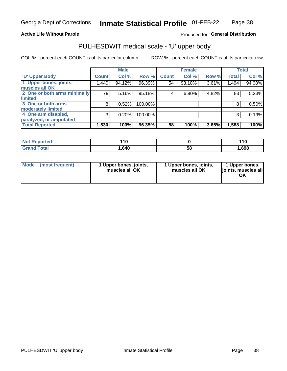### **Active Life Without Parole**

# Produced for General Distribution

# PULHESDWIT medical scale - 'U' upper body

COL % - percent each COUNT is of its particular column

|                              |              | <b>Male</b> |         |              | <b>Female</b> |       |              | <b>Total</b> |
|------------------------------|--------------|-------------|---------|--------------|---------------|-------|--------------|--------------|
| <b>U' Upper Body</b>         | <b>Count</b> | Col %       | Row %   | <b>Count</b> | Col %         | Row % | <b>Total</b> | Col %        |
| 1 Upper bones, joints,       | 1,440        | 94.12%      | 96.39%  | 54           | 93.10%        | 3.61% | 1,494        | 94.08%       |
| muscles all OK               |              |             |         |              |               |       |              |              |
| 2 One or both arms minimally | 79           | 5.16%       | 95.18%  | 4            | 6.90%         | 4.82% | 83           | 5.23%        |
| limited                      |              |             |         |              |               |       |              |              |
| 3 One or both arms           | 8            | 0.52%       | 100.00% |              |               |       | 8            | 0.50%        |
| <b>moderately limited</b>    |              |             |         |              |               |       |              |              |
| 4 One arm disabled,          | 3            | 0.20%       | 100.00% |              |               |       | 3            | 0.19%        |
| paralyzed, or amputated      |              |             |         |              |               |       |              |              |
| <b>Total Reported</b>        | 1,530        | 100%        | 96.35%  | 58           | 100%          | 3.65% | 1,588        | 100%         |

| <b>Not Reported</b> | <b>AO</b><br>. . u |    | <b>44C</b> |
|---------------------|--------------------|----|------------|
| <b>Total</b>        | .640               | 58 | ,698       |

| Mode | (most frequent) | l Upper bones, joints,<br>muscles all OK | 1 Upper bones, joints,<br>muscles all OK | 1 Upper bones,<br>ljoints, muscles all<br>ОK |
|------|-----------------|------------------------------------------|------------------------------------------|----------------------------------------------|
|------|-----------------|------------------------------------------|------------------------------------------|----------------------------------------------|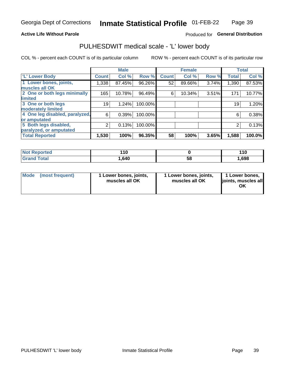### **Active Life Without Parole**

# Produced for General Distribution

# PULHESDWIT medical scale - 'L' lower body

COL % - percent each COUNT is of its particular column

|                                |              | <b>Male</b> |         |              | <b>Female</b> |       |              | <b>Total</b> |
|--------------------------------|--------------|-------------|---------|--------------|---------------|-------|--------------|--------------|
| 'L' Lower Body                 | <b>Count</b> | Col %       | Row %   | <b>Count</b> | Col %         | Row % | <b>Total</b> | Col %        |
| 1 Lower bones, joints,         | 1,338        | 87.45%      | 96.26%  | 52           | 89.66%        | 3.74% | 1,390        | 87.53%       |
| muscles all OK                 |              |             |         |              |               |       |              |              |
| 2 One or both legs minimally   | 165          | 10.78%      | 96.49%  | 6            | 10.34%        | 3.51% | 171          | 10.77%       |
| limited                        |              |             |         |              |               |       |              |              |
| 3 One or both legs             | 19           | 1.24%       | 100.00% |              |               |       | 19           | 1.20%        |
| moderately limited             |              |             |         |              |               |       |              |              |
| 4 One leg disabled, paralyzed, | 6            | 0.39%       | 100.00% |              |               |       | 6            | 0.38%        |
| or amputated                   |              |             |         |              |               |       |              |              |
| 5 Both legs disabled,          | 2            | 0.13%       | 100.00% |              |               |       | 2            | 0.13%        |
| paralyzed, or amputated        |              |             |         |              |               |       |              |              |
| <b>Total Reported</b>          | 1,530        | 100%        | 96.35%  | 58           | 100%          | 3.65% | 1,588        | 100.0%       |

| <b>Not Reported</b> | 1 V    |    | 110  |
|---------------------|--------|----|------|
| <b>Grand Total</b>  | 640, ا | 58 | ,698 |

| Mode | (most frequent) | 1 Lower bones, joints,<br>muscles all OK | 1 Lower bones, joints,<br>muscles all OK | 1 Lower bones,<br>joints, muscles all<br>ΟK |
|------|-----------------|------------------------------------------|------------------------------------------|---------------------------------------------|
|------|-----------------|------------------------------------------|------------------------------------------|---------------------------------------------|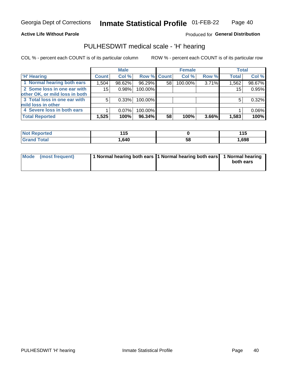### **Active Life Without Parole**

Produced for General Distribution

# PULHESDWIT medical scale - 'H' hearing

COL % - percent each COUNT is of its particular column

|                                | <b>Male</b>  |          | <b>Female</b>      |    |         | <b>Total</b> |              |        |
|--------------------------------|--------------|----------|--------------------|----|---------|--------------|--------------|--------|
| <b>H' Hearing</b>              | <b>Count</b> | Col %    | <b>Row % Count</b> |    | Col %   | Row %        | <b>Total</b> | Col %  |
| 1 Normal hearing both ears     | 1,504        | 98.62%   | 96.29%             | 58 | 100.00% | 3.71%        | 1,562        | 98.67% |
| 2 Some loss in one ear with    | 15           | 0.98%    | 100.00%            |    |         |              | 15           | 0.95%  |
| other OK, or mild loss in both |              |          |                    |    |         |              |              |        |
| 3 Total loss in one ear with   | 5            | 0.33%    | 100.00%            |    |         |              | 5            | 0.32%  |
| mild loss in other             |              |          |                    |    |         |              |              |        |
| 4 Severe loss in both ears     |              | $0.07\%$ | 100.00%            |    |         |              |              | 0.06%  |
| <b>Total Reported</b>          | 1,525        | 100%     | 96.34%             | 58 | 100%    | 3.66%        | 1,583        | 100%   |

| <b>Not Reported</b> | .<br>11 H<br>1 J |            | 44 E<br>. |
|---------------------|------------------|------------|-----------|
| <b>Total</b>        | 640. ا           | - 6.<br>Эō | 698،      |

| Mode (most frequent) | 1 Normal hearing both ears 1 Normal hearing both ears 1 Normal hearing | both ears |
|----------------------|------------------------------------------------------------------------|-----------|
|                      |                                                                        |           |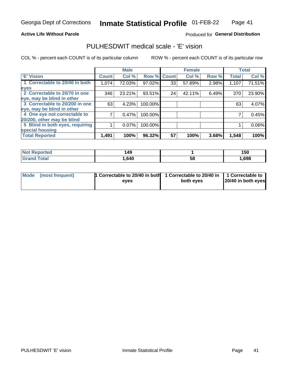### **Active Life Without Parole**

### Produced for General Distribution

# PULHESDWIT medical scale - 'E' vision

COL % - percent each COUNT is of its particular column

|                                 |              | <b>Male</b> |         |              | <b>Female</b> |       |              | <b>Total</b> |
|---------------------------------|--------------|-------------|---------|--------------|---------------|-------|--------------|--------------|
| <b>E' Vision</b>                | <b>Count</b> | Col %       | Row %   | <b>Count</b> | Col %         | Row % | <b>Total</b> | Col %        |
| 1 Correctable to 20/40 in both  | 1,074        | 72.03%      | 97.02%  | 33           | 57.89%        | 2.98% | 1,107        | 71.51%       |
| eyes                            |              |             |         |              |               |       |              |              |
| 2 Correctable to 20/70 in one   | 346          | 23.21%      | 93.51%  | 24           | 42.11%        | 6.49% | 370          | 23.90%       |
| eye, may be blind in other      |              |             |         |              |               |       |              |              |
| 3 Correctable to 20/200 in one  | 63           | 4.23%       | 100.00% |              |               |       | 63           | 4.07%        |
| eye, may be blind in other      |              |             |         |              |               |       |              |              |
| 4 One eye not correctable to    |              | 0.47%       | 100.00% |              |               |       |              | 0.45%        |
| 20/200, other may be blind      |              |             |         |              |               |       |              |              |
| 5 Blind in both eyes, requiring |              | 0.07%       | 100.00% |              |               |       |              | 0.06%        |
| special housing                 |              |             |         |              |               |       |              |              |
| <b>Total Reported</b>           | 1,491        | 100%        | 96.32%  | 57           | 100%          | 3.68% | 1,548        | 100%         |

| Reported     | 149  |    | 150  |
|--------------|------|----|------|
| <b>Total</b> | .640 | 58 | ,698 |

| Mode (most frequent) | 1 Correctable to 20/40 in both<br>eves | 1 Correctable to 20/40 in   1 Correctable to  <br>both eves | 20/40 in both eyes |
|----------------------|----------------------------------------|-------------------------------------------------------------|--------------------|
|                      |                                        |                                                             |                    |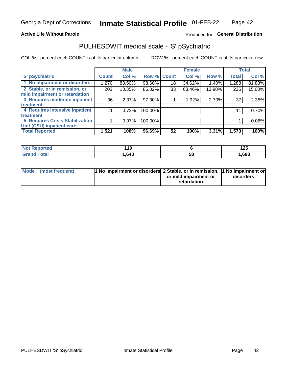### **Active Life Without Parole**

# Produced for General Distribution

# PULHESDWIT medical scale - 'S' pSychiatric

COL % - percent each COUNT is of its particular column

|                                        |              | <b>Male</b> |                    |    | <b>Female</b> |        |              | <b>Total</b> |
|----------------------------------------|--------------|-------------|--------------------|----|---------------|--------|--------------|--------------|
| 'S' pSychiatric                        | <b>Count</b> | Col %       | <b>Row % Count</b> |    | Col %         | Row %  | <b>Total</b> | Col %        |
| 1 No impairment or disorders           | 1,270        | 83.50%      | 98.60%             | 18 | 34.62%        | 1.40%  | 1,288        | 81.88%       |
| 2 Stable, or in remission, or          | 203          | 13.35%      | 86.02%             | 33 | 63.46%        | 13.98% | 236          | 15.00%       |
| mild impairment or retardation         |              |             |                    |    |               |        |              |              |
| 3 Requires moderate inpatient          | 36           | 2.37%       | 97.30%             |    | 1.92%         | 2.70%  | 37           | 2.35%        |
| treatment                              |              |             |                    |    |               |        |              |              |
| 4 Requires intensive inpatient         | 11           | 0.72%       | 100.00%            |    |               |        | 11           | 0.70%        |
| treatment                              |              |             |                    |    |               |        |              |              |
| <b>5 Requires Crisis Stabilization</b> |              | $0.07\%$    | 100.00%            |    |               |        |              | 0.06%        |
| Unit (CSU) inpatient care              |              |             |                    |    |               |        |              |              |
| <b>Total Reported</b>                  | 1,521        | 100%        | 96.69%             | 52 | 100%          | 3.31%  | 1,573        | 100%         |

| <b>Not Reported</b> | 44C<br>. |    | 1 つに<br>ט גו |
|---------------------|----------|----|--------------|
| <b>Grand Total</b>  | .640     | 58 | ,698         |

| Mode (most frequent) | <b>1 No impairment or disorders 2 Stable, or in remission, 1 No impairment or</b> |                       |           |
|----------------------|-----------------------------------------------------------------------------------|-----------------------|-----------|
|                      |                                                                                   | or mild impairment or | disorders |
|                      |                                                                                   | retardation           |           |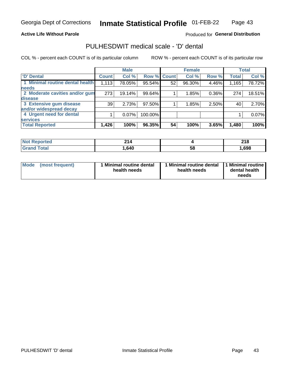### **Active Life Without Parole**

### Produced for General Distribution

# PULHESDWIT medical scale - 'D' dental

COL % - percent each COUNT is of its particular column

|                                 |              | <b>Male</b> |             |    | <b>Female</b> |       |              | <b>Total</b> |
|---------------------------------|--------------|-------------|-------------|----|---------------|-------|--------------|--------------|
| <b>D'</b> Dental                | <b>Count</b> | Col %       | Row % Count |    | Col %         | Row % | <b>Total</b> | Col %        |
| 1 Minimal routine dental health | 1,113        | 78.05%      | 95.54%      | 52 | 96.30%        | 4.46% | 1,165        | 78.72%       |
| <b>needs</b>                    |              |             |             |    |               |       |              |              |
| 2 Moderate cavities and/or gum  | 273          | 19.14%      | 99.64%      |    | 1.85%         | 0.36% | 274          | 18.51%       |
| disease                         |              |             |             |    |               |       |              |              |
| 3 Extensive gum disease         | 39           | 2.73%       | 97.50%      |    | 1.85%         | 2.50% | 40           | 2.70%        |
| and/or widespread decay         |              |             |             |    |               |       |              |              |
| 4 Urgent need for dental        |              | 0.07%       | 100.00%     |    |               |       |              | 0.07%        |
| <b>services</b>                 |              |             |             |    |               |       |              |              |
| <b>Total Reported</b>           | 1,426        | 100%        | 96.35%      | 54 | 100%          | 3.65% | 1,480        | 100%         |

| ported<br>NOT RADO<br>. | -94.<br>4 I 4 |     | 240<br><b>LIU</b> |
|-------------------------|---------------|-----|-------------------|
| Total                   | .640          | -58 | ,698              |

| <b>Mode</b> | (most frequent) | <b>Minimal routine dental</b><br>health needs | 1 Minimal routine dental<br>health needs | <b>11 Minimal routine I</b><br>dental health<br>needs |
|-------------|-----------------|-----------------------------------------------|------------------------------------------|-------------------------------------------------------|
|-------------|-----------------|-----------------------------------------------|------------------------------------------|-------------------------------------------------------|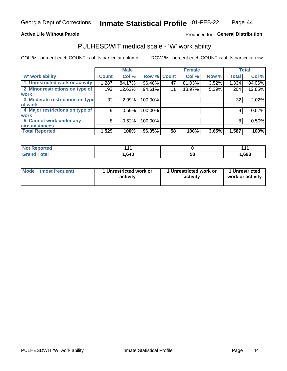### **Active Life Without Parole**

# Produced for General Distribution

# PULHESDWIT medical scale - 'W' work ability

COL % - percent each COUNT is of its particular column

|                                 |              | <b>Male</b> |         |             | <b>Female</b> |       |              | <b>Total</b> |
|---------------------------------|--------------|-------------|---------|-------------|---------------|-------|--------------|--------------|
| <b>W' work ability</b>          | <b>Count</b> | Col %       |         | Row % Count | Col %         | Row % | <b>Total</b> | Col %        |
| 1 Unrestricted work or activity | 1,287        | 84.17%      | 96.48%  | 47          | 81.03%        | 3.52% | 1,334        | 84.06%       |
| 2 Minor restrictions on type of | 193          | 12.62%      | 94.61%  | 11          | 18.97%        | 5.39% | 204          | 12.85%       |
| <b>work</b>                     |              |             |         |             |               |       |              |              |
| 3 Moderate restrictions on type | 32           | 2.09%       | 100.00% |             |               |       | 32           | 2.02%        |
| lof work                        |              |             |         |             |               |       |              |              |
| 4 Major restrictions on type of | 9            | 0.59%       | 100.00% |             |               |       | 9            | 0.57%        |
| <b>work</b>                     |              |             |         |             |               |       |              |              |
| 5 Cannot work under any         | 8            | 0.52%       | 100.00% |             |               |       | 8            | 0.50%        |
| <b>circumstances</b>            |              |             |         |             |               |       |              |              |
| <b>Total Reported</b>           | 1,529        | 100%        | 96.35%  | 58          | 100%          | 3.65% | 1,587        | 100%         |

| <b>Not Reported</b>     | 44   |    | 4 A  |
|-------------------------|------|----|------|
| <b>Total</b><br>Grand . | .640 | 58 | ,698 |

| <b>Mode</b> | (most frequent) | 1 Unrestricted work or<br>activity | 1 Unrestricted work or<br>activity | 1 Unrestricted<br>work or activity |
|-------------|-----------------|------------------------------------|------------------------------------|------------------------------------|
|-------------|-----------------|------------------------------------|------------------------------------|------------------------------------|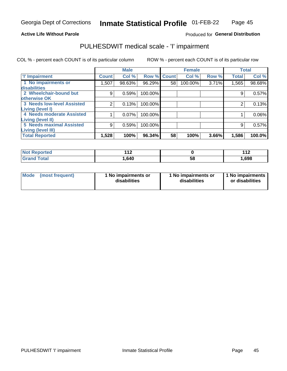### **Active Life Without Parole**

Produced for General Distribution

# PULHESDWIT medical scale - 'I' impairment

|                                   |              | <b>Male</b> |                    |    | <b>Female</b> |       |              | <b>Total</b> |
|-----------------------------------|--------------|-------------|--------------------|----|---------------|-------|--------------|--------------|
| <b>T' Impairment</b>              | <b>Count</b> | Col %       | <b>Row % Count</b> |    | Col %         | Row % | <b>Total</b> | Col %        |
| 1 No impairments or               | 1,507        | 98.63%      | 96.29%             | 58 | 100.00%       | 3.71% | 1,565        | 98.68%       |
| disabilities                      |              |             |                    |    |               |       |              |              |
| 2 Wheelchair-bound but            | 9            | 0.59%       | 100.00%            |    |               |       | 9            | 0.57%        |
| otherwise OK                      |              |             |                    |    |               |       |              |              |
| <b>3 Needs low-level Assisted</b> | 2            | 0.13%       | 100.00%            |    |               |       |              | 0.13%        |
| Living (level I)                  |              |             |                    |    |               |       |              |              |
| 4 Needs moderate Assisted         |              | 0.07%       | 100.00%            |    |               |       |              | $0.06\%$     |
| Living (level II)                 |              |             |                    |    |               |       |              |              |
| <b>5 Needs maximal Assisted</b>   | 9            | 0.59%       | 100.00%            |    |               |       | 9            | 0.57%        |
| <b>Living (level III)</b>         |              |             |                    |    |               |       |              |              |
| <b>Total Reported</b>             | 1,528        | 100%        | 96.34%             | 58 | 100%          | 3.66% | 1,586        | 100.0%       |

| Reported     | 44 O.<br>. . |    | 44 <sup>c</sup><br><u>.</u> |
|--------------|--------------|----|-----------------------------|
| <b>Total</b> | .640         | ၁၀ | 1,698                       |

| Mode | (most frequent) | 1 No impairments or<br>disabilities | 1 No impairments or<br>disabilities | 1 No impairments<br>or disabilities |
|------|-----------------|-------------------------------------|-------------------------------------|-------------------------------------|
|------|-----------------|-------------------------------------|-------------------------------------|-------------------------------------|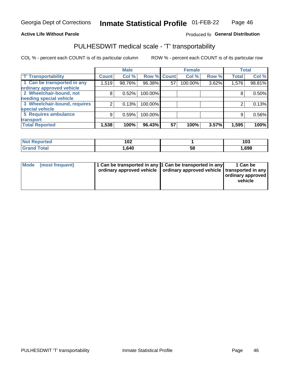### **Active Life Without Parole**

### Produced fo General Distribution

# PULHESDWIT medical scale - 'T' transportability

COL % - percent each COUNT is of its particular column

|                              |              | <b>Male</b> |                    |    | <b>Female</b> |       |              | <b>Total</b> |
|------------------------------|--------------|-------------|--------------------|----|---------------|-------|--------------|--------------|
| <b>T' Transportability</b>   | <b>Count</b> | Col %       | <b>Row % Count</b> |    | Col %         | Row % | <b>Total</b> | Col %        |
| 1 Can be transported in any  | 1,519        | 98.76%      | 96.38%             | 57 | 100.00%       | 3.62% | 1,576        | 98.81%       |
| ordinary approved vehicle    |              |             |                    |    |               |       |              |              |
| 2 Wheelchair-bound, not      | 8            | 0.52%       | 100.00%            |    |               |       |              | 0.50%        |
| needing special vehicle      |              |             |                    |    |               |       |              |              |
| 3 Wheelchair-bound, requires |              | 0.13%       | 100.00%            |    |               |       |              | 0.13%        |
| special vehicle              |              |             |                    |    |               |       |              |              |
| 5 Requires ambulance         | 9            | 0.59%       | 100.00%            |    |               |       | 9            | 0.56%        |
| transport                    |              |             |                    |    |               |       |              |              |
| <b>Total Reported</b>        | 1,538        | 100%        | 96.43%             | 57 | 100%          | 3.57% | 1,595        | 100%         |

| orted        | 10 <sup>o</sup><br>א∪י |    | 103  |
|--------------|------------------------|----|------|
| <b>Total</b> | .640                   | 58 | ,698 |

| <b>Mode</b> | (most frequent) | 1 Can be transported in any 1 Can be transported in any | ordinary approved vehicle   ordinary approved vehicle   transported in any | 1 Can be<br>  ordinary approved  <br>vehicle |
|-------------|-----------------|---------------------------------------------------------|----------------------------------------------------------------------------|----------------------------------------------|
|-------------|-----------------|---------------------------------------------------------|----------------------------------------------------------------------------|----------------------------------------------|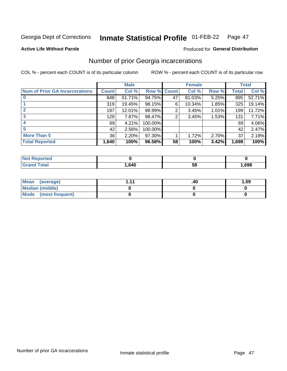#### **Inmate Statistical Profile 01-FEB-22** Page 47

### **Active Life Without Parole**

# **Produced for General Distribution**

# Number of prior Georgia incarcerations

COL % - percent each COUNT is of its particular column

|                                       |       | <b>Male</b> |             |    | <b>Female</b> |       |       | <b>Total</b> |
|---------------------------------------|-------|-------------|-------------|----|---------------|-------|-------|--------------|
| <b>Num of Prior GA Incarcerations</b> | Count | Col %       | Row % Count |    | Col %         | Row % | Total | Col %        |
| $\bf{0}$                              | 848   | 51.71%      | 94.75%      | 47 | 81.03%        | 5.25% | 895   | 52.71%       |
|                                       | 319   | 19.45%      | 98.15%      | 6  | 10.34%        | 1.85% | 325   | 19.14%       |
|                                       | 197   | 12.01%      | 98.99%      | 2  | 3.45%         | 1.01% | 199   | 11.72%       |
| 3                                     | 129   | 7.87%       | 98.47%      | 2  | 3.45%         | 1.53% | 131   | 7.71%        |
| 4                                     | 69    | 4.21%       | 100.00%     |    |               |       | 69    | 4.06%        |
| 5                                     | 42    | 2.56%       | 100.00%     |    |               |       | 42    | 2.47%        |
| <b>More Than 5</b>                    | 36    | 2.20%       | $97.30\%$   |    | 1.72%         | 2.70% | 37    | 2.18%        |
| <b>Total Reported</b>                 | 1,640 | 100%        | 96.58%      | 58 | 100%          | 3.42% | 1,698 | 100%         |

| <b>orted</b><br>. NOT REDC |      |    |      |
|----------------------------|------|----|------|
| <b>Total</b><br>Cro        | .640 | วช | ,698 |

| Mean (average)       | -44 | .40 | 1.09 |
|----------------------|-----|-----|------|
| Median (middle)      |     |     |      |
| Mode (most frequent) |     |     |      |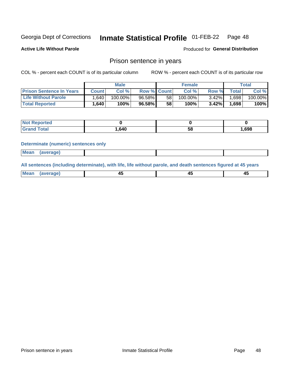#### **Inmate Statistical Profile 01-FEB-22** Page 48

**Produced for General Distribution** 

**Active Life Without Parole** 

# Prison sentence in years

COL % - percent each COUNT is of its particular column

ROW % - percent each COUNT is of its particular row

|                                 | <b>Male</b> |         |                    |    | <b>Female</b> | Total    |        |         |
|---------------------------------|-------------|---------|--------------------|----|---------------|----------|--------|---------|
| <b>Prison Sentence In Years</b> | Count l     | Col %   | <b>Row % Count</b> |    | Col %         | Row %    | Total  | Col %   |
| <b>Life Without Parole</b>      | .640        | 100.00% | 96.58%             | 58 | $100.00\%$    | $3.42\%$ | ا 698. | 100.00% |
| <b>Total Reported</b>           | .640        | 100%    | 96.58%             | 58 | $100\%$       | 3.42%    | 1,698  | 100%    |

| <b>Not Reported</b> |      |    |       |
|---------------------|------|----|-------|
| <b>Total</b>        | .640 | 58 | 1,698 |

### **Determinate (numeric) sentences only**

| <b>Mean</b> | (average) |  |  |
|-------------|-----------|--|--|

All sentences (including determinate), with life, life without parole, and death sentences figured at 45 years

| Me<br>.<br> | -- | -- |  |
|-------------|----|----|--|
|             |    |    |  |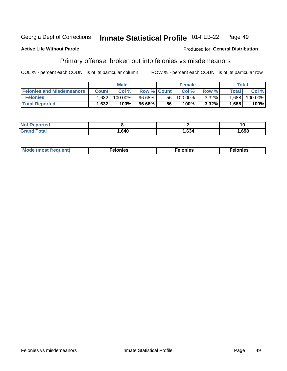#### Georgia Dept of Corrections Inmate Statistical Profile 01-FEB-22 Page 49

### **Active Life Without Parole**

## **Produced for General Distribution**

# Primary offense, broken out into felonies vs misdemeanors

COL % - percent each COUNT is of its particular column

|                                  | <b>Male</b>  |            |                    |      | <b>Female</b> |          |                    | Total   |  |
|----------------------------------|--------------|------------|--------------------|------|---------------|----------|--------------------|---------|--|
| <b>Felonies and Misdemeanors</b> | <b>Count</b> | Col%       | <b>Row % Count</b> |      | Col%          | Row %    | Total <sub>1</sub> | Col %   |  |
| <b>Felonies</b>                  | .632         | $100.00\%$ | 96.68%             | 56 I | 100.00%       | $3.32\%$ | 1.688              | 100.00% |  |
| <b>Total Reported</b>            | .632         | $100\%$    | 96.68%             | 56   | 100%          | 3.32%    | .688               | 100%    |  |

| <b>Not Reported</b>          |      |      | 10   |
|------------------------------|------|------|------|
| <b>Total</b><br><b>Grand</b> | .640 | ,634 | ,698 |

| Mode (most frequent)<br>elonies | Felonies | Felonies |
|---------------------------------|----------|----------|
|---------------------------------|----------|----------|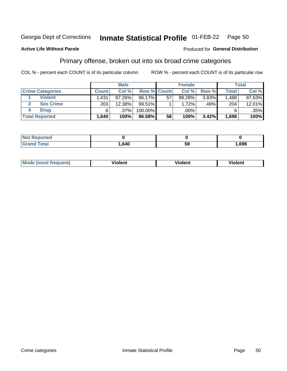#### **Inmate Statistical Profile 01-FEB-22** Page 50

### **Active Life Without Parole**

### Produced for General Distribution

# Primary offense, broken out into six broad crime categories

COL % - percent each COUNT is of its particular column

|                         | <b>Male</b>  |        |                    | <b>Female</b> |        |       | Total        |         |
|-------------------------|--------------|--------|--------------------|---------------|--------|-------|--------------|---------|
| <b>Crime Categories</b> | <b>Count</b> | Col%   | <b>Row % Count</b> |               | Col %  | Row % | <b>Total</b> | Col %   |
| <b>Violent</b>          | .431         | 87.26% | 96.17%             | 57            | 98.28% | 3.83% | 1,488        | 87.63%  |
| <b>Sex Crime</b>        | 203          | 12.38% | $99.51\%$          |               | 1.72%  | .49%  | 204          | 12.01%  |
| <b>Drug</b>             | 6            | .37%   | 100.00%            |               | .00%   |       | 6            | $.35\%$ |
| <b>Total Reported</b>   | ا 640.ا      | 100%   | 96.58%             | 58            | 100%   | 3.42% | 1,698        | $100\%$ |

| .      |      |    |      |
|--------|------|----|------|
| ______ | .640 | 58 | ,698 |

| <b>Mo</b><br>quent)<br>. | .<br>∕iolent | <br>∕iolent | .<br>วlent |
|--------------------------|--------------|-------------|------------|
|                          |              |             |            |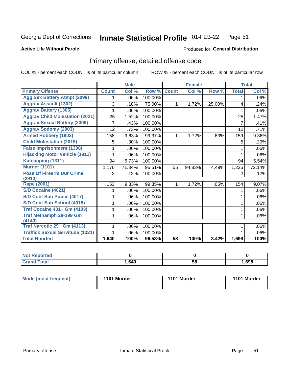#### **Inmate Statistical Profile 01-FEB-22** Page 51

### **Active Life Without Parole**

### **Produced for General Distribution**

# Primary offense, detailed offense code

COL % - percent each COUNT is of its particular column

|                                         |              | <b>Male</b>                |         |              | <b>Female</b>             |        |              | <b>Total</b> |
|-----------------------------------------|--------------|----------------------------|---------|--------------|---------------------------|--------|--------------|--------------|
| <b>Primary Offense</b>                  | <b>Count</b> | $\overline{\text{Col }^9}$ | Row %   | <b>Count</b> | $\overline{\text{Col}}$ % | Row %  | <b>Total</b> | Col %        |
| <b>Agg Sex Battery Atmpt (2099)</b>     |              | .06%                       | 100.00% |              |                           |        | 1            | .06%         |
| <b>Aggrav Assault (1302)</b>            | 3            | .18%                       | 75.00%  | 1            | 1.72%                     | 25.00% | 4            | .24%         |
| <b>Aggrav Battery (1305)</b>            |              | .06%                       | 100.00% |              |                           |        |              | .06%         |
| <b>Aggrav Child Molestation (2021)</b>  | 25           | 1.52%                      | 100.00% |              |                           |        | 25           | 1.47%        |
| <b>Aggrav Sexual Battery (2009)</b>     |              | .43%                       | 100.00% |              |                           |        | 7            | .41%         |
| <b>Aggrav Sodomy (2003)</b>             | 12           | .73%                       | 100.00% |              |                           |        | 12           | .71%         |
| <b>Armed Robbery (1902)</b>             | 158          | 9.63%                      | 99.37%  | 1            | 1.72%                     | .63%   | 159          | 9.36%        |
| <b>Child Molestation (2019)</b>         | 5            | .30%                       | 100.00% |              |                           |        | 5            | .29%         |
| <b>False Imprisonment (1308)</b>        |              | .06%                       | 100.00% |              |                           |        |              | .06%         |
| <b>Hijacking Motor Vehicle (1911)</b>   |              | .06%                       | 100.00% |              |                           |        |              | .06%         |
| Kidnapping (1311)                       | 94           | 5.73%                      | 100.00% |              |                           |        | 94           | 5.54%        |
| <b>Murder (1101)</b>                    | 1,170        | 71.34%                     | 95.51%  | 55           | 94.83%                    | 4.49%  | 1,225        | 72.14%       |
| <b>Poss Of Firearm Dur Crime</b>        | 2            | .12%                       | 100.00% |              |                           |        | 2            | .12%         |
| (2910)                                  |              |                            |         |              |                           |        |              |              |
| Rape (2001)                             | 153          | 9.33%                      | 99.35%  |              | 1.72%                     | .65%   | 154          | 9.07%        |
| S/D Cocaine (4021)                      |              | .06%                       | 100.00% |              |                           |        |              | .06%         |
| S/D Cont Sub Public (4017)              |              | .06%                       | 100.00% |              |                           |        |              | .06%         |
| S/D Cont Sub School (4018)              |              | .06%                       | 100.00% |              |                           |        | 1            | .06%         |
| <b>Traf Cocaine 401+ Gm (4103)</b>      |              | .06%                       | 100.00% |              |                           |        | 1            | .06%         |
| <b>Traf Methamph 28-199 Gm</b>          |              | .06%                       | 100.00% |              |                           |        | 1            | .06%         |
| (4140)                                  |              |                            |         |              |                           |        |              |              |
| Traf Narcotic 29+ Gm (4113)             |              | .06%                       | 100.00% |              |                           |        |              | .06%         |
| <b>Traffick Sexual Servitude (1331)</b> |              | .06%                       | 100.00% |              |                           |        |              | .06%         |
| <b>Total Rported</b>                    | 1,640        | 100%                       | 96.58%  | 58           | 100%                      | 3.42%  | 1,698        | 100%         |

| $N$<br><b>ported</b><br>Renc |      |    |      |
|------------------------------|------|----|------|
| <b>Total</b><br>$C$ ron      | .640 | 58 | ,698 |

| Mode (most frequent) | 1101 Murder | 1101 Murder | 1101 Murder |
|----------------------|-------------|-------------|-------------|
|----------------------|-------------|-------------|-------------|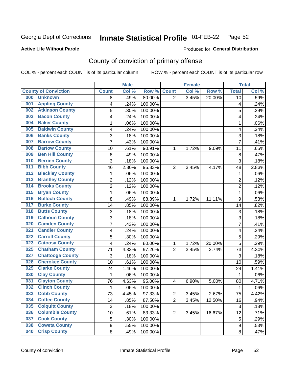#### **Inmate Statistical Profile 01-FEB-22** Page 52

### **Active Life Without Parole**

### Produced for General Distribution

# County of conviction of primary offense

COL % - percent each COUNT is of its particular column

|     |                             |                | <b>Male</b> |         |                | <b>Female</b> |        |                | <b>Total</b> |
|-----|-----------------------------|----------------|-------------|---------|----------------|---------------|--------|----------------|--------------|
|     | <b>County of Conviction</b> | <b>Count</b>   | Col %       | Row %   | <b>Count</b>   | Col %         | Row %  | <b>Total</b>   | Col %        |
| 000 | <b>Unknown</b>              | 8              | .49%        | 80.00%  | $\overline{2}$ | 3.45%         | 20.00% | 10             | .59%         |
| 001 | <b>Appling County</b>       | 4              | .24%        | 100.00% |                |               |        | 4              | .24%         |
| 002 | <b>Atkinson County</b>      | 5              | .30%        | 100.00% |                |               |        | 5              | .29%         |
| 003 | <b>Bacon County</b>         | 4              | .24%        | 100.00% |                |               |        | 4              | .24%         |
| 004 | <b>Baker County</b>         | $\mathbf{1}$   | .06%        | 100.00% |                |               |        | 1              | .06%         |
| 005 | <b>Baldwin County</b>       | 4              | .24%        | 100.00% |                |               |        | 4              | .24%         |
| 006 | <b>Banks County</b>         | 3              | .18%        | 100.00% |                |               |        | 3              | .18%         |
| 007 | <b>Barrow County</b>        | $\overline{7}$ | .43%        | 100.00% |                |               |        | $\overline{7}$ | .41%         |
| 008 | <b>Bartow County</b>        | 10             | .61%        | 90.91%  | 1              | 1.72%         | 9.09%  | 11             | .65%         |
| 009 | <b>Ben Hill County</b>      | 8              | .49%        | 100.00% |                |               |        | 8              | .47%         |
| 010 | <b>Berrien County</b>       | 3              | .18%        | 100.00% |                |               |        | 3              | .18%         |
| 011 | <b>Bibb County</b>          | 46             | 2.80%       | 95.83%  | $\overline{2}$ | 3.45%         | 4.17%  | 48             | 2.83%        |
| 012 | <b>Bleckley County</b>      | $\mathbf{1}$   | .06%        | 100.00% |                |               |        | $\mathbf{1}$   | .06%         |
| 013 | <b>Brantley County</b>      | $\overline{2}$ | .12%        | 100.00% |                |               |        | $\overline{2}$ | .12%         |
| 014 | <b>Brooks County</b>        | $\overline{2}$ | .12%        | 100.00% |                |               |        | $\overline{2}$ | .12%         |
| 015 | <b>Bryan County</b>         | $\mathbf{1}$   | .06%        | 100.00% |                |               |        | $\mathbf{1}$   | .06%         |
| 016 | <b>Bulloch County</b>       | 8              | .49%        | 88.89%  | 1              | 1.72%         | 11.11% | 9              | .53%         |
| 017 | <b>Burke County</b>         | 14             | .85%        | 100.00% |                |               |        | 14             | .82%         |
| 018 | <b>Butts County</b>         | 3              | .18%        | 100.00% |                |               |        | 3              | .18%         |
| 019 | <b>Calhoun County</b>       | 3              | .18%        | 100.00% |                |               |        | $\overline{3}$ | .18%         |
| 020 | <b>Camden County</b>        | $\overline{7}$ | .43%        | 100.00% |                |               |        | $\overline{7}$ | .41%         |
| 021 | <b>Candler County</b>       | 4              | .24%        | 100.00% |                |               |        | 4              | .24%         |
| 022 | <b>Carroll County</b>       | 5              | .30%        | 100.00% |                |               |        | 5              | .29%         |
| 023 | <b>Catoosa County</b>       | 4              | .24%        | 80.00%  | 1              | 1.72%         | 20.00% | 5              | .29%         |
| 025 | <b>Chatham County</b>       | 71             | 4.33%       | 97.26%  | $\overline{2}$ | 3.45%         | 2.74%  | 73             | 4.30%        |
| 027 | <b>Chattooga County</b>     | 3              | .18%        | 100.00% |                |               |        | 3              | .18%         |
| 028 | <b>Cherokee County</b>      | 10             | .61%        | 100.00% |                |               |        | 10             | .59%         |
| 029 | <b>Clarke County</b>        | 24             | 1.46%       | 100.00% |                |               |        | 24             | 1.41%        |
| 030 | <b>Clay County</b>          | $\mathbf{1}$   | .06%        | 100.00% |                |               |        | $\mathbf{1}$   | .06%         |
| 031 | <b>Clayton County</b>       | 76             | 4.63%       | 95.00%  | 4              | 6.90%         | 5.00%  | 80             | 4.71%        |
| 032 | <b>Clinch County</b>        | $\mathbf{1}$   | .06%        | 100.00% |                |               |        | 1              | .06%         |
| 033 | <b>Cobb County</b>          | 73             | 4.45%       | 97.33%  | 2              | 3.45%         | 2.67%  | 75             | 4.42%        |
| 034 | <b>Coffee County</b>        | 14             | .85%        | 87.50%  | $\overline{2}$ | 3.45%         | 12.50% | 16             | .94%         |
| 035 | <b>Colquitt County</b>      | $\mathfrak{S}$ | .18%        | 100.00% |                |               |        | 3              | .18%         |
| 036 | <b>Columbia County</b>      | 10             | .61%        | 83.33%  | $\overline{2}$ | 3.45%         | 16.67% | 12             | .71%         |
| 037 | <b>Cook County</b>          | 5              | .30%        | 100.00% |                |               |        | 5              | .29%         |
| 038 | <b>Coweta County</b>        | 9              | .55%        | 100.00% |                |               |        | 9              | .53%         |
| 040 | <b>Crisp County</b>         | 8              | .49%        | 100.00% |                |               |        | 8              | .47%         |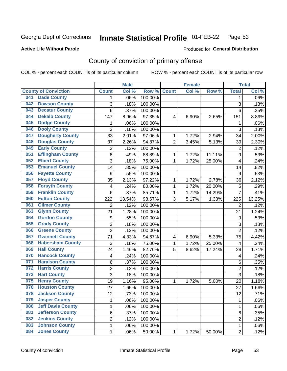#### **Inmate Statistical Profile 01-FEB-22** Page 53

### **Active Life Without Parole**

### Produced for General Distribution

# County of conviction of primary offense

COL % - percent each COUNT is of its particular column

|                                 |                         | <b>Male</b> |         |                | <b>Female</b>       |        |                  | <b>Total</b> |
|---------------------------------|-------------------------|-------------|---------|----------------|---------------------|--------|------------------|--------------|
| <b>County of Conviction</b>     | <b>Count</b>            | Col %       | Row %   | <b>Count</b>   | Col %               | Row %  | <b>Total</b>     | Col %        |
| <b>Dade County</b><br>041       | 1                       | .06%        | 100.00% |                |                     |        | 1                | .06%         |
| <b>Dawson County</b><br>042     | 3                       | .18%        | 100.00% |                |                     |        | 3                | .18%         |
| <b>Decatur County</b><br>043    | 6                       | .37%        | 100.00% |                |                     |        | 6                | .35%         |
| <b>Dekalb County</b><br>044     | 147                     | 8.96%       | 97.35%  | $\overline{4}$ | 6.90%               | 2.65%  | 151              | 8.89%        |
| <b>Dodge County</b><br>045      | 1                       | .06%        | 100.00% |                |                     |        | 1                | .06%         |
| <b>Dooly County</b><br>046      | $\overline{3}$          | .18%        | 100.00% |                |                     |        | $\overline{3}$   | .18%         |
| <b>Dougherty County</b><br>047  | 33                      | 2.01%       | 97.06%  | 1              | 1.72%               | 2.94%  | 34               | 2.00%        |
| <b>Douglas County</b><br>048    | 37                      | 2.26%       | 94.87%  | $\overline{2}$ | 3.45%               | 5.13%  | 39               | 2.30%        |
| <b>Early County</b><br>049      | $\overline{c}$          | .12%        | 100.00% |                |                     |        | $\overline{2}$   | .12%         |
| <b>Effingham County</b><br>051  | 8                       | .49%        | 88.89%  | 1              | 1.72%               | 11.11% | $\boldsymbol{9}$ | .53%         |
| <b>Elbert County</b><br>052     | 3                       | .18%        | 75.00%  | 1              | 1.72%               | 25.00% | 4                | .24%         |
| <b>Emanuel County</b><br>053    | 14                      | .85%        | 100.00% |                |                     |        | 14               | .82%         |
| <b>Fayette County</b><br>056    | $\boldsymbol{9}$        | .55%        | 100.00% |                |                     |        | 9                | .53%         |
| <b>Floyd County</b><br>057      | 35                      | 2.13%       | 97.22%  | 1              | 1.72%               | 2.78%  | 36               | 2.12%        |
| <b>Forsyth County</b><br>058    | 4                       | .24%        | 80.00%  | 1              | 1.72%               | 20.00% | 5                | .29%         |
| <b>Franklin County</b><br>059   | 6                       | .37%        | 85.71%  | 1              | 1.72%               | 14.29% | $\overline{7}$   | .41%         |
| <b>Fulton County</b><br>060     | 222                     | 13.54%      | 98.67%  | 3              | 5.17%               | 1.33%  | 225              | 13.25%       |
| <b>Gilmer County</b><br>061     | $\overline{2}$          | .12%        | 100.00% |                |                     |        | $\overline{2}$   | .12%         |
| <b>Glynn County</b><br>063      | 21                      | 1.28%       | 100.00% |                |                     |        | 21               | 1.24%        |
| <b>Gordon County</b><br>064     | 9                       | .55%        | 100.00% |                |                     |        | $9\,$            | .53%         |
| <b>Grady County</b><br>065      | 3                       | .18%        | 100.00% |                |                     |        | 3                | .18%         |
| <b>Greene County</b><br>066     | $\overline{2}$          | .12%        | 100.00% |                |                     |        | $\overline{2}$   | .12%         |
| <b>Gwinnett County</b><br>067   | 71                      | 4.33%       | 94.67%  | 4              | 6.90%               | 5.33%  | 75               | 4.42%        |
| <b>Habersham County</b><br>068  | 3                       | .18%        | 75.00%  | 1              | $\overline{1.72\%}$ | 25.00% | 4                | .24%         |
| <b>Hall County</b><br>069       | 24                      | 1.46%       | 82.76%  | 5              | 8.62%               | 17.24% | 29               | 1.71%        |
| <b>Hancock County</b><br>070    | $\overline{\mathbf{4}}$ | .24%        | 100.00% |                |                     |        | 4                | .24%         |
| <b>Haralson County</b><br>071   | 6                       | .37%        | 100.00% |                |                     |        | 6                | .35%         |
| <b>Harris County</b><br>072     | $\overline{c}$          | .12%        | 100.00% |                |                     |        | $\overline{c}$   | .12%         |
| <b>Hart County</b><br>073       | $\overline{3}$          | .18%        | 100.00% |                |                     |        | 3                | .18%         |
| <b>Henry County</b><br>075      | 19                      | 1.16%       | 95.00%  | 1              | 1.72%               | 5.00%  | 20               | 1.18%        |
| <b>Houston County</b><br>076    | 27                      | 1.65%       | 100.00% |                |                     |        | 27               | 1.59%        |
| 078<br><b>Jackson County</b>    | 12                      | .73%        | 100.00% |                |                     |        | 12               | .71%         |
| <b>Jasper County</b><br>079     | 1                       | .06%        | 100.00% |                |                     |        | 1                | .06%         |
| <b>Jeff Davis County</b><br>080 | 1                       | .06%        | 100.00% |                |                     |        | 1                | .06%         |
| <b>Jefferson County</b><br>081  | 6                       | .37%        | 100.00% |                |                     |        | 6                | .35%         |
| <b>Jenkins County</b><br>082    | 2                       | .12%        | 100.00% |                |                     |        | $\overline{2}$   | .12%         |
| <b>Johnson County</b><br>083    | 1                       | .06%        | 100.00% |                |                     |        | 1                | .06%         |
| <b>Jones County</b><br>084      | $\mathbf 1$             | .06%        | 50.00%  | 1              | 1.72%               | 50.00% | $\overline{2}$   | .12%         |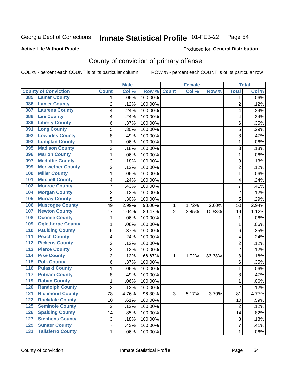#### **Inmate Statistical Profile 01-FEB-22** Page 54

### **Active Life Without Parole**

### Produced for General Distribution

# County of conviction of primary offense

COL % - percent each COUNT is of its particular column

|                                              |                | <b>Male</b> |         |                | <b>Female</b> |          |                | <b>Total</b> |
|----------------------------------------------|----------------|-------------|---------|----------------|---------------|----------|----------------|--------------|
| <b>County of Conviction</b>                  | <b>Count</b>   | Col %       | Row %   | <b>Count</b>   | Col %         | Row %    | <b>Total</b>   | Col %        |
| <b>Lamar County</b><br>085                   | 1              | .06%        | 100.00% |                |               |          | 1              | $.06\%$      |
| <b>Lanier County</b><br>086                  | $\overline{2}$ | .12%        | 100.00% |                |               |          | $\overline{2}$ | .12%         |
| <b>Laurens County</b><br>087                 | 4              | .24%        | 100.00% |                |               |          | 4              | .24%         |
| <b>Lee County</b><br>088                     | 4              | .24%        | 100.00% |                |               |          | 4              | .24%         |
| <b>Liberty County</b><br>089                 | 6              | .37%        | 100.00% |                |               |          | 6              | .35%         |
| <b>Long County</b><br>091                    | 5              | .30%        | 100.00% |                |               |          | 5              | .29%         |
| <b>Lowndes County</b><br>092                 | 8              | .49%        | 100.00% |                |               |          | 8              | .47%         |
| <b>Lumpkin County</b><br>093                 | 1              | .06%        | 100.00% |                |               |          | $\mathbf{1}$   | .06%         |
| <b>Madison County</b><br>095                 | 3              | .18%        | 100.00% |                |               |          | 3              | .18%         |
| <b>Marion County</b><br>096                  | 1              | .06%        | 100.00% |                |               |          | $\mathbf{1}$   | .06%         |
| <b>Mcduffie County</b><br>097                | 3              | .18%        | 100.00% |                |               |          | 3              | .18%         |
| <b>Meriwether County</b><br>099              | $\overline{2}$ | .12%        | 100.00% |                |               |          | $\overline{2}$ | .12%         |
| <b>Miller County</b><br>100                  | 1              | .06%        | 100.00% |                |               |          | $\mathbf{1}$   | .06%         |
| <b>Mitchell County</b><br>101                | 4              | .24%        | 100.00% |                |               |          | 4              | .24%         |
| <b>Monroe County</b><br>102                  | 7              | .43%        | 100.00% |                |               |          | $\overline{7}$ | .41%         |
| <b>Morgan County</b><br>104                  | $\overline{2}$ | .12%        | 100.00% |                |               |          | $\overline{2}$ | .12%         |
| <b>Murray County</b><br>105                  | 5              | .30%        | 100.00% |                |               |          | 5              | .29%         |
| <b>Muscogee County</b><br>106                | 49             | 2.99%       | 98.00%  | 1              | 1.72%         | 2.00%    | 50             | 2.94%        |
| <b>Newton County</b><br>107                  | 17             | 1.04%       | 89.47%  | $\overline{2}$ | 3.45%         | 10.53%   | 19             | 1.12%        |
| <b>Oconee County</b><br>108                  | 1              | .06%        | 100.00% |                |               |          | 1              | .06%         |
| <b>Oglethorpe County</b><br>109              | 1              | .06%        | 100.00% |                |               |          | 1              | .06%         |
| <b>Paulding County</b><br>110                | 6              | .37%        | 100.00% |                |               |          | 6              | .35%         |
| <b>Peach County</b><br>111                   | 4              | .24%        | 100.00% |                |               |          | 4              | .24%         |
| <b>Pickens County</b><br>112                 | $\overline{2}$ | .12%        | 100.00% |                |               |          | $\overline{2}$ | .12%         |
| <b>Pierce County</b><br>113                  | 2              | .12%        | 100.00% |                |               |          | $\overline{2}$ | .12%         |
| <b>Pike County</b><br>$\overline{114}$       | $\overline{2}$ | .12%        | 66.67%  | 1              | 1.72%         | 33.33%   | 3              | .18%         |
| <b>Polk County</b><br>$\overline{115}$       | 6              | .37%        | 100.00% |                |               |          | 6              | .35%         |
| <b>Pulaski County</b><br>116                 | 1              | .06%        | 100.00% |                |               |          | $\mathbf{1}$   | .06%         |
| <b>Putnam County</b><br>117                  | 8              | .49%        | 100.00% |                |               |          | 8              | .47%         |
| <b>Rabun County</b><br>119                   | 1              | .06%        | 100.00% |                |               |          | $\mathbf{1}$   | .06%         |
| <b>Randolph County</b><br>120                | $\overline{2}$ | .12%        | 100.00% |                |               |          | $\overline{2}$ | .12%         |
| <b>Richmond County</b><br>121                | 78             | 4.76%       | 96.30%  | 3              | 5.17%         | $3.70\%$ | 81             | 4.77%        |
| <b>Rockdale County</b><br>122                | 10             | .61%        | 100.00% |                |               |          | 10             | .59%         |
| <b>Seminole County</b><br>$125$              | $\overline{2}$ | .12%        | 100.00% |                |               |          | $\overline{2}$ | .12%         |
| <b>Spalding County</b><br>126                | 14             | .85%        | 100.00% |                |               |          | 14             | .82%         |
| <b>Stephens County</b><br>127                | 3              | .18%        | 100.00% |                |               |          | 3              | .18%         |
| <b>Sumter County</b><br>129                  | 7              | .43%        | 100.00% |                |               |          | $\overline{7}$ | .41%         |
| <b>Taliaferro County</b><br>$\overline{131}$ | $\mathbf{1}$   | .06%        | 100.00% |                |               |          | $\mathbf 1$    | .06%         |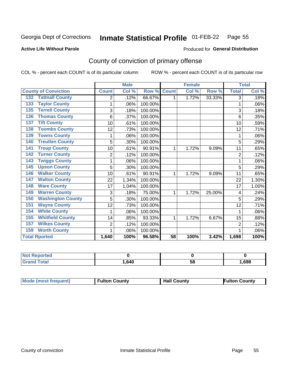#### **Inmate Statistical Profile 01-FEB-22** Page 55

**Produced for General Distribution** 

### **Active Life Without Parole**

# County of conviction of primary offense

COL % - percent each COUNT is of its particular column

|                                 |                | <b>Male</b> |         |                 | <b>Female</b> |        |                | <b>Total</b> |
|---------------------------------|----------------|-------------|---------|-----------------|---------------|--------|----------------|--------------|
| <b>County of Conviction</b>     | <b>Count</b>   | Col %       | Row %   | <b>Count</b>    | Col %         | Row %  | <b>Total</b>   | Col %        |
| <b>Tattnall County</b><br>132   | 2              | .12%        | 66.67%  | 1               | 1.72%         | 33.33% | 3              | .18%         |
| <b>Taylor County</b><br>133     |                | .06%        | 100.00% |                 |               |        | 1              | .06%         |
| <b>Terrell County</b><br>135    | 3              | .18%        | 100.00% |                 |               |        | 3              | .18%         |
| <b>Thomas County</b><br>136     | 6              | .37%        | 100.00% |                 |               |        | 6              | .35%         |
| <b>Tift County</b><br>137       | 10             | .61%        | 100.00% |                 |               |        | 10             | .59%         |
| <b>Toombs County</b><br>138     | 12             | .73%        | 100.00% |                 |               |        | 12             | .71%         |
| <b>Towns County</b><br>139      |                | .06%        | 100.00% |                 |               |        | 1              | .06%         |
| <b>Treutlen County</b><br>140   | 5              | .30%        | 100.00% |                 |               |        | 5              | .29%         |
| <b>Troup County</b><br>141      | 10             | .61%        | 90.91%  | 1               | 1.72%         | 9.09%  | 11             | .65%         |
| <b>Turner County</b><br>142     | 2              | .12%        | 100.00% |                 |               |        | $\overline{2}$ | .12%         |
| <b>Twiggs County</b><br>143     |                | .06%        | 100.00% |                 |               |        |                | .06%         |
| <b>Upson County</b><br>145      | 5              | .30%        | 100.00% |                 |               |        | 5              | .29%         |
| <b>Walker County</b><br>146     | 10             | .61%        | 90.91%  | 1               | 1.72%         | 9.09%  | 11             | .65%         |
| <b>Walton County</b><br>147     | 22             | 1.34%       | 100.00% |                 |               |        | 22             | 1.30%        |
| <b>Ware County</b><br>148       | 17             | 1.04%       | 100.00% |                 |               |        | 17             | 1.00%        |
| <b>Warren County</b><br>149     | 3              | .18%        | 75.00%  | 1               | 1.72%         | 25.00% | 4              | .24%         |
| <b>Washington County</b><br>150 | 5              | .30%        | 100.00% |                 |               |        | 5              | .29%         |
| <b>Wayne County</b><br>151      | 12             | .73%        | 100.00% |                 |               |        | 12             | .71%         |
| <b>White County</b><br>154      | 1              | .06%        | 100.00% |                 |               |        |                | .06%         |
| <b>Whitfield County</b><br>155  | 14             | .85%        | 93.33%  | 1               | 1.72%         | 6.67%  | 15             | .88%         |
| <b>Wilkes County</b><br>157     | $\overline{2}$ | .12%        | 100.00% |                 |               |        | $\overline{2}$ | .12%         |
| <b>Worth County</b><br>159      | 1              | .06%        | 100.00% |                 |               |        |                | .06%         |
| <b>Total Rported</b>            | 1,640          | 100%        | 96.58%  | $\overline{58}$ | 100%          | 3.42%  | 1,698          | 100%         |

| <b>Not Reported</b> |        |    |      |
|---------------------|--------|----|------|
| <b>Total</b>        | 640. ا | ບເ | ,698 |

| <b>Mode (most frequent)</b> | <b>Fulton County</b> | <b>Hall County</b> | Fulton Countv |
|-----------------------------|----------------------|--------------------|---------------|
|-----------------------------|----------------------|--------------------|---------------|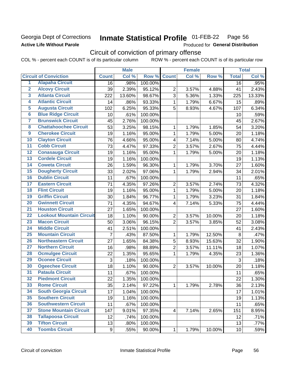# Georgia Dept of Corrections **Active Life Without Parole**

#### Inmate Statistical Profile 01-FEB-22 Page 56

Produced for General Distribution

# Circuit of conviction of primary offense

|                         |                                 | <b>Male</b>    |        |                  | <b>Female</b>           |       |        | <b>Total</b> |        |  |
|-------------------------|---------------------------------|----------------|--------|------------------|-------------------------|-------|--------|--------------|--------|--|
|                         | <b>Circuit of Conviction</b>    | <b>Count</b>   | Col %  | Row <sup>%</sup> | <b>Count</b>            | Col % | Row %  | <b>Total</b> | Col %  |  |
| 1                       | <b>Alapaha Circuit</b>          | 16             | .98%   | 100.00%          |                         |       |        | 16           | .95%   |  |
| $\overline{2}$          | <b>Alcovy Circuit</b>           | 39             | 2.39%  | 95.12%           | $\overline{2}$          | 3.57% | 4.88%  | 41           | 2.43%  |  |
| $\overline{\mathbf{3}}$ | <b>Atlanta Circuit</b>          | 222            | 13.60% | 98.67%           | 3                       | 5.36% | 1.33%  | 225          | 13.33% |  |
| $\overline{4}$          | <b>Atlantic Circuit</b>         | 14             | .86%   | 93.33%           | 1                       | 1.79% | 6.67%  | 15           | .89%   |  |
| $\overline{5}$          | <b>Augusta Circuit</b>          | 102            | 6.25%  | 95.33%           | 5                       | 8.93% | 4.67%  | 107          | 6.34%  |  |
| $\overline{\bf{6}}$     | <b>Blue Ridge Circuit</b>       | 10             | .61%   | 100.00%          |                         |       |        | 10           | .59%   |  |
| 7                       | <b>Brunswick Circuit</b>        | 45             | 2.76%  | 100.00%          |                         |       |        | 45           | 2.67%  |  |
| $\overline{\mathbf{8}}$ | <b>Chattahoochee Circuit</b>    | 53             | 3.25%  | 98.15%           | 1                       | 1.79% | 1.85%  | 54           | 3.20%  |  |
| $\overline{9}$          | <b>Cherokee Circuit</b>         | 19             | 1.16%  | 95.00%           | 1                       | 1.79% | 5.00%  | 20           | 1.18%  |  |
| 10                      | <b>Clayton Circuit</b>          | 76             | 4.66%  | 95.00%           | 4                       | 7.14% | 5.00%  | 80           | 4.74%  |  |
| $\overline{11}$         | <b>Cobb Circuit</b>             | 73             | 4.47%  | 97.33%           | $\overline{2}$          | 3.57% | 2.67%  | 75           | 4.44%  |  |
| $\overline{12}$         | <b>Conasauga Circuit</b>        | 19             | 1.16%  | 95.00%           | 1                       | 1.79% | 5.00%  | 20           | 1.18%  |  |
| 13                      | <b>Cordele Circuit</b>          | 19             | 1.16%  | 100.00%          |                         |       |        | 19           | 1.13%  |  |
| 14                      | <b>Coweta Circuit</b>           | 26             | 1.59%  | 96.30%           | 1                       | 1.79% | 3.70%  | 27           | 1.60%  |  |
| 15                      | <b>Dougherty Circuit</b>        | 33             | 2.02%  | 97.06%           | $\mathbf{1}$            | 1.79% | 2.94%  | 34           | 2.01%  |  |
| 16                      | <b>Dublin Circuit</b>           | 11             | .67%   | 100.00%          |                         |       |        | 11           | .65%   |  |
| 17                      | <b>Eastern Circuit</b>          | 71             | 4.35%  | 97.26%           | $\overline{2}$          | 3.57% | 2.74%  | 73           | 4.32%  |  |
| $\overline{18}$         | <b>Flint Circuit</b>            | 19             | 1.16%  | 95.00%           | $\mathbf 1$             | 1.79% | 5.00%  | 20           | 1.18%  |  |
| 19                      | <b>Griffin Circuit</b>          | 30             | 1.84%  | 96.77%           | $\mathbf{1}$            | 1.79% | 3.23%  | 31           | 1.84%  |  |
| $\overline{20}$         | <b>Gwinnett Circuit</b>         | 71             | 4.35%  | 94.67%           | 4                       | 7.14% | 5.33%  | 75           | 4.44%  |  |
| $\overline{21}$         | <b>Houston Circuit</b>          | 27             | 1.65%  | 100.00%          |                         |       |        | 27           | 1.60%  |  |
| $\overline{22}$         | <b>Lookout Mountain Circuit</b> | 18             | 1.10%  | 90.00%           | $\overline{2}$          | 3.57% | 10.00% | 20           | 1.18%  |  |
| 23                      | <b>Macon Circuit</b>            | 50             | 3.06%  | 96.15%           | $\overline{2}$          | 3.57% | 3.85%  | 52           | 3.08%  |  |
| $\overline{24}$         | <b>Middle Circuit</b>           | 41             | 2.51%  | 100.00%          |                         |       |        | 41           | 2.43%  |  |
| $\overline{25}$         | <b>Mountain Circuit</b>         | $\overline{7}$ | .43%   | 87.50%           | 1                       | 1.79% | 12.50% | 8            | .47%   |  |
| 26                      | <b>Northeastern Circuit</b>     | 27             | 1.65%  | 84.38%           | $\overline{5}$          | 8.93% | 15.63% | 32           | 1.90%  |  |
| $\overline{27}$         | <b>Northern Circuit</b>         | 16             | .98%   | 88.89%           | $\overline{2}$          | 3.57% | 11.11% | 18           | 1.07%  |  |
| 28                      | <b>Ocmulgee Circuit</b>         | 22             | 1.35%  | 95.65%           | 1                       | 1.79% | 4.35%  | 23           | 1.36%  |  |
| 29                      | <b>Oconee Circuit</b>           | 3              | .18%   | 100.00%          |                         |       |        | 3            | .18%   |  |
| 30                      | <b>Ogeechee Circuit</b>         | 18             | 1.10%  | 90.00%           | $\overline{2}$          | 3.57% | 10.00% | 20           | 1.18%  |  |
| $\overline{31}$         | <b>Pataula Circuit</b>          | 11             | .67%   | 100.00%          |                         |       |        | 11           | .65%   |  |
| 32                      | <b>Piedmont Circuit</b>         | 22             | 1.35%  | 100.00%          |                         |       |        | 22           | 1.30%  |  |
| 33                      | <b>Rome Circuit</b>             | 35             | 2.14%  | 97.22%           | $\mathbf{1}$            | 1.79% | 2.78%  | 36           | 2.13%  |  |
| 34                      | <b>South Georgia Circuit</b>    | 17             | 1.04%  | 100.00%          |                         |       |        | 17           | 1.01%  |  |
| 35                      | <b>Southern Circuit</b>         | 19             | 1.16%  | 100.00%          |                         |       |        | 19           | 1.13%  |  |
| 36                      | <b>Southwestern Circuit</b>     | 11             | .67%   | 100.00%          |                         |       |        | 11           | .65%   |  |
| 37                      | <b>Stone Mountain Circuit</b>   | 147            | 9.01%  | 97.35%           | $\overline{\mathbf{4}}$ | 7.14% | 2.65%  | 151          | 8.95%  |  |
| 38                      | <b>Tallapoosa Circuit</b>       | 12             | .74%   | 100.00%          |                         |       |        | 12           | .71%   |  |
| 39                      | <b>Tifton Circuit</b>           | 13             | .80%   | 100.00%          |                         |       |        | 13           | .77%   |  |
| 40                      | <b>Toombs Circuit</b>           | 9              | .55%   | 90.00%           | $\mathbf{1}$            | 1.79% | 10.00% | 10           | .59%   |  |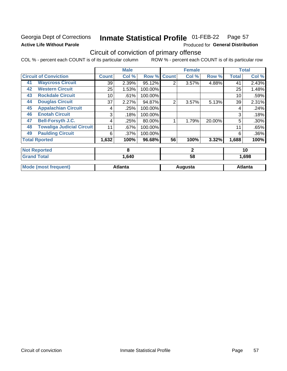# Georgia Dept of Corrections **Active Life Without Parole**

#### Inmate Statistical Profile 01-FEB-22 Page 57

Produced for General Distribution

# Circuit of conviction of primary offense

|    |                                  |              | <b>Male</b>    |         |                | <b>Female</b> |        |              | <b>Total</b>   |
|----|----------------------------------|--------------|----------------|---------|----------------|---------------|--------|--------------|----------------|
|    | <b>Circuit of Conviction</b>     | <b>Count</b> | Col %          | Row %   | <b>Count</b>   | Col %         | Row %  | <b>Total</b> | Col %          |
| 41 | <b>Waycross Circuit</b>          | 39           | 2.39%          | 95.12%  | $\overline{2}$ | 3.57%         | 4.88%  | 41           | 2.43%          |
| 42 | <b>Western Circuit</b>           | 25           | 1.53%          | 100.00% |                |               |        | 25           | 1.48%          |
| 43 | <b>Rockdale Circuit</b>          | 10           | .61%           | 100.00% |                |               |        | 10           | .59%           |
| 44 | <b>Douglas Circuit</b>           | 37           | 2.27%          | 94.87%  | $\overline{2}$ | 3.57%         | 5.13%  | 39           | 2.31%          |
| 45 | <b>Appalachian Circuit</b>       | 4            | .25%           | 100.00% |                |               |        | 4            | .24%           |
| 46 | <b>Enotah Circuit</b>            | 3            | .18%           | 100.00% |                |               |        | 3            | .18%           |
| 47 | <b>Bell-Forsyth J.C.</b>         | 4            | .25%           | 80.00%  |                | 1.79%         | 20.00% | 5            | .30%           |
| 48 | <b>Towaliga Judicial Circuit</b> | 11           | .67%           | 100.00% |                |               |        | 11           | .65%           |
| 49 | <b>Paulding Circuit</b>          | 6            | .37%           | 100.00% |                |               |        | 6            | .36%           |
|    | <b>Total Rported</b>             | 1,632        | 100%           | 96.68%  | 56             | 100%          | 3.32%  | 1,688        | 100%           |
|    | <b>Not Reported</b>              |              | 8              |         |                | $\mathbf{2}$  |        | 10           |                |
|    | <b>Grand Total</b>               |              | 1,640          |         |                | 58            |        | 1,698        |                |
|    | <b>Mode (most frequent)</b>      |              | <b>Atlanta</b> |         |                | Augusta       |        |              | <b>Atlanta</b> |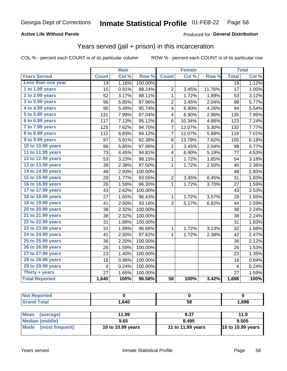# **Active Life Without Parole**

# Produced for General Distribution

# Years served (jail + prison) in this incarceration

COL % - percent each COUNT is of its particular column

|                        |                 | <b>Male</b> |         |                         | <b>Female</b> |        |                 | <b>Total</b> |
|------------------------|-----------------|-------------|---------|-------------------------|---------------|--------|-----------------|--------------|
| <b>Years Served</b>    | <b>Count</b>    | Col %       | Row %   | <b>Count</b>            | Col %         | Row %  | <b>Total</b>    | Col %        |
| Less than one year     | $\overline{19}$ | 1.16%       | 100.00% |                         |               |        | $\overline{19}$ | 1.12%        |
| 1 to 1.99 years        | 15              | 0.91%       | 88.24%  | $\overline{2}$          | 3.45%         | 11.76% | 17              | 1.00%        |
| 2 to 2.99 years        | 52              | 3.17%       | 98.11%  | 1                       | 1.72%         | 1.89%  | 53              | 3.12%        |
| 3 to 3.99 years        | 96              | 5.85%       | 97.96%  | $\overline{\mathbf{c}}$ | 3.45%         | 2.04%  | 98              | 5.77%        |
| 4 to 4.99 years        | 90              | 5.49%       | 95.74%  | 4                       | 6.90%         | 4.26%  | 94              | 5.54%        |
| 5 to 5.99 years        | 131             | 7.99%       | 97.04%  | 4                       | 6.90%         | 2.96%  | 135             | 7.95%        |
| 6 to 6.99 years        | 117             | 7.13%       | 95.12%  | 6                       | 10.34%        | 4.88%  | 123             | 7.24%        |
| 7 to 7.99 years        | 125             | 7.62%       | 94.70%  | $\overline{7}$          | 12.07%        | 5.30%  | 132             | 7.77%        |
| <b>8 to 8.99 years</b> | 112             | 6.83%       | 94.12%  | 7                       | 12.07%        | 5.88%  | 119             | 7.01%        |
| 9 to 9.99 years        | 97              | 5.91%       | 92.38%  | 8                       | 13.79%        | 7.62%  | 105             | 6.18%        |
| 10 to 10.99 years      | 96              | 5.85%       | 97.96%  | $\overline{c}$          | 3.45%         | 2.04%  | 98              | 5.77%        |
| 11 to 11.99 years      | 73              | 4.45%       | 94.81%  | 4                       | 6.90%         | 5.19%  | 77              | 4.53%        |
| 12 to 12.99 years      | 53              | 3.23%       | 98.15%  | 1                       | 1.72%         | 1.85%  | 54              | 3.18%        |
| 13 to 13.99 years      | 39              | 2.38%       | 97.50%  | $\mathbf 1$             | 1.72%         | 2.50%  | 40              | 2.36%        |
| 14 to 14.99 years      | 48              | 2.93%       | 100.00% |                         |               |        | 48              | 2.83%        |
| 15 to 15.99 years      | 29              | 1.77%       | 93.55%  | $\overline{c}$          | 3.45%         | 6.45%  | 31              | 1.83%        |
| 16 to 16.99 years      | 26              | 1.59%       | 96.30%  | 1                       | 1.72%         | 3.70%  | 27              | 1.59%        |
| 17 to 17.99 years      | 43              | 2.62%       | 100.00% |                         |               |        | 43              | 2.53%        |
| 18 to 18.99 years      | 27              | 1.65%       | 96.43%  | 1                       | 1.72%         | 3.57%  | 28              | 1.65%        |
| 19 to 19.99 years      | 41              | 2.50%       | 93.18%  | 3                       | 5.17%         | 6.82%  | 44              | 2.59%        |
| 20 to 20.99 years      | 38              | 2.32%       | 100.00% |                         |               |        | 38              | 2.24%        |
| 21 to 21.99 years      | 38              | 2.32%       | 100.00% |                         |               |        | 38              | 2.24%        |
| 22 to 22.99 years      | 31              | 1.89%       | 100.00% |                         |               |        | 31              | 1.83%        |
| 23 to 23.99 years      | 31              | 1.89%       | 96.88%  | 1                       | 1.72%         | 3.13%  | 32              | 1.88%        |
| 24 to 24.99 years      | 41              | 2.50%       | 97.62%  | $\mathbf{1}$            | 1.72%         | 2.38%  | 42              | 2.47%        |
| 25 to 25.99 years      | 36              | 2.20%       | 100.00% |                         |               |        | 36              | 2.12%        |
| 26 to 26.99 years      | 26              | 1.59%       | 100.00% |                         |               |        | 26              | 1.53%        |
| 27 to 27.99 years      | 23              | 1.40%       | 100.00% |                         |               |        | 23              | 1.35%        |
| 28 to 28.99 years      | 16              | 0.98%       | 100.00% |                         |               |        | 16              | 0.94%        |
| 29 to 29.99 years      | 4               | 0.24%       | 100.00% |                         |               |        | 4               | 0.24%        |
| Thirty + years         | 27              | 1.65%       | 100.00% |                         |               |        | 27              | 1.59%        |
| <b>Total Reported</b>  | 1,640           | 100%        | 96.58%  | $\overline{58}$         | 100%          | 3.42%  | 1,698           | 100%         |

| .640 | 58 | .698 |
|------|----|------|

| <b>Mean</b><br>(average) | 11.99             | 9.37              | 11.9                     |
|--------------------------|-------------------|-------------------|--------------------------|
| Median (middle)          | 9.65              | 8.495             | 9.505                    |
| Mode (most frequent)     | 10 to 10.99 years | 11 to 11.99 years | <b>10 to 10.99 years</b> |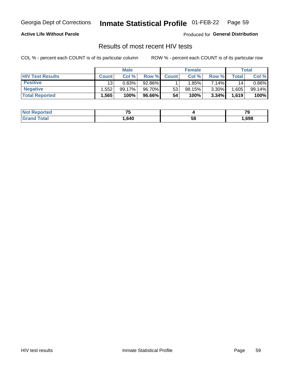#### **Inmate Statistical Profile 01-FEB-22** Page 59

### **Active Life Without Parole**

Produced for General Distribution

# Results of most recent HIV tests

COL % - percent each COUNT is of its particular column

|                         | <b>Male</b>     |         |        |              | <b>Female</b> | Total    |       |        |
|-------------------------|-----------------|---------|--------|--------------|---------------|----------|-------|--------|
| <b>HIV Test Results</b> | <b>Count</b>    | Col %   | Row %I | <b>Count</b> | Col %         | Row %    | Total | Col %  |
| <b>Positive</b>         | 13 <sub>1</sub> | 0.83%   | 92.86% |              | $1.85\%$      | 7.14%    | 14    | 0.86%  |
| <b>Negative</b>         | .552            | 99.17%। | 96.70% | 53           | 98.15%        | $3.30\%$ | .605  | 99.14% |
| <b>Total Reported</b>   | .565            | 100%    | 96.66% | 54           | 100%          | 3.34%    | 1,619 | 100%   |

| <b>Not Reported</b>                                                                                                                                                                                                                     | --<br>سی |    |      |
|-----------------------------------------------------------------------------------------------------------------------------------------------------------------------------------------------------------------------------------------|----------|----|------|
| iotal<br>$G$ restantia de la provincia del porto del porto del porto del porto del porto del porto del porto del porto del porto del porto del porto del porto del porto del porto del porto del porto del porto del porto del porto de | .640     | эŏ | ,698 |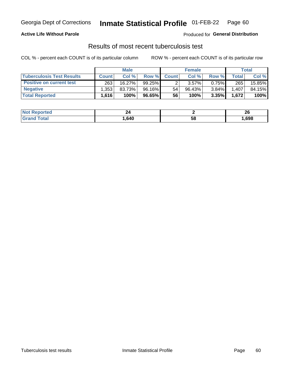# Georgia Dept of Corrections **Inmate Statistical Profile** 01-FEB-22 Page 60

## **Active Life Without Parole**

Produced for **General Distribution**

# Results of most recent tuberculosis test

|                                  | <b>Male</b>       |        |           | <b>Female</b> |        |          | Total |        |
|----------------------------------|-------------------|--------|-----------|---------------|--------|----------|-------|--------|
| <b>Tuberculosis Test Results</b> | <b>Count</b>      | Col%   | Row %I    | <b>Count</b>  | Col%   | Row %    | Total | Col %  |
| <b>Positive on current test</b>  | 263               | 16.27% | $99.25\%$ |               | 3.57%  | $0.75\%$ | 265   | 15.85% |
| <b>Negative</b>                  | .353              | 83.73% | 96.16%    | 54            | 96.43% | 3.84%    | 1,407 | 84.15% |
| <b>Total Reported</b>            | .616 <sup>1</sup> | 100%   | 96.65%    | 56            | 100%   | 3.35%    | 1,672 | 100%   |

| <b>Not Reported</b> | 44   |    | ״<br>Zu |
|---------------------|------|----|---------|
| Total               | .640 | 58 | ,698    |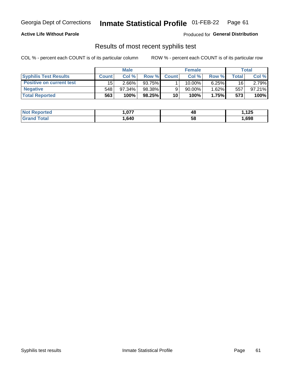# Georgia Dept of Corrections **Inmate Statistical Profile** 01-FEB-22 Page 61

### **Active Life Without Parole**

Produced for **General Distribution**

# Results of most recent syphilis test

|                                 | <b>Male</b>  |        |        | <b>Female</b> |        |              | Total |        |
|---------------------------------|--------------|--------|--------|---------------|--------|--------------|-------|--------|
| <b>Syphilis Test Results</b>    | <b>Count</b> | Col%   | Row %  | <b>Count</b>  | Col %  | <b>Row %</b> | Total | Col %  |
| <b>Positive on current test</b> | 15           | 2.66%  | 93.75% |               | 10.00% | $6.25\%$     | 16    | 2.79%  |
| <b>Negative</b>                 | 548          | 97.34% | 98.38% |               | 90.00% | $1.62\%$     | 557   | 97.21% |
| <b>Total Reported</b>           | 563          | 100%   | 98.25% | 10            | 100%   | 1.75%        | 573   | 100%   |

| <b>Not Reported</b> | 077. ، | 48 | , 125 |
|---------------------|--------|----|-------|
| <b>Grand Total</b>  | ,640   | 58 | ,698  |